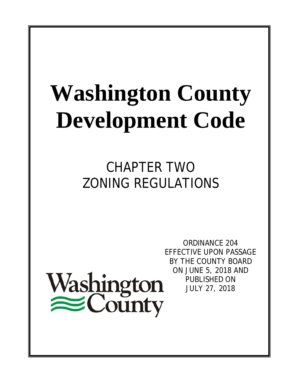# **Washington County Development Code**

## CHAPTER TWO ZONING REGULATIONS



ORDINANCE 204 EFFECTIVE UPON PASSAGE BY THE COUNTY BOARD ON JUNE 5, 2018 AND PUBLISHED ON JULY 27, 2018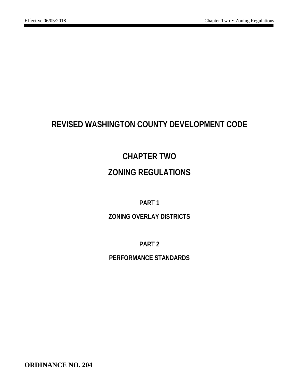### **REVISED WASHINGTON COUNTY DEVELOPMENT CODE**

### **CHAPTER TWO ZONING REGULATIONS**

#### **PART 1**

#### **ZONING OVERLAY DISTRICTS**

**PART 2**

#### **PERFORMANCE STANDARDS**

**ORDINANCE NO. 204**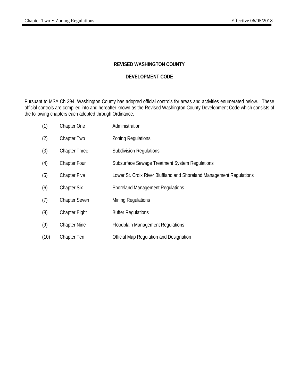#### **REVISED WASHINGTON COUNTY**

#### **DEVELOPMENT CODE**

Pursuant to MSA Ch 394, Washington County has adopted official controls for areas and activities enumerated below. These official controls are compiled into and hereafter known as the Revised Washington County Development Code which consists of the following chapters each adopted through Ordinance.

| (1)  | Chapter One          | Administration                                                       |
|------|----------------------|----------------------------------------------------------------------|
| (2)  | Chapter Two          | <b>Zoning Regulations</b>                                            |
| (3)  | <b>Chapter Three</b> | <b>Subdivision Regulations</b>                                       |
| (4)  | <b>Chapter Four</b>  | Subsurface Sewage Treatment System Regulations                       |
| (5)  | <b>Chapter Five</b>  | Lower St. Croix River Bluffland and Shoreland Management Regulations |
| (6)  | <b>Chapter Six</b>   | <b>Shoreland Management Regulations</b>                              |
| (7)  | <b>Chapter Seven</b> | <b>Mining Regulations</b>                                            |
| (8)  | <b>Chapter Eight</b> | <b>Buffer Regulations</b>                                            |
| (9)  | <b>Chapter Nine</b>  | <b>Floodplain Management Regulations</b>                             |
| (10) | Chapter Ten          | Official Map Regulation and Designation                              |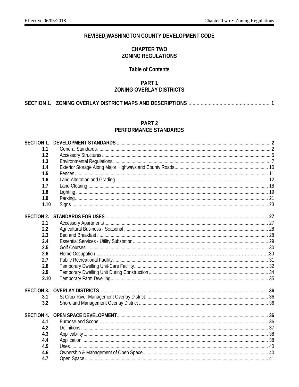#### REVISED WASHINGTON COUNTY DEVELOPMENT CODE

#### **CHAPTER TWO ZONING REGULATIONS**

#### **Table of Contents**

#### PART<sub>1</sub> **ZONING OVERLAY DISTRICTS**

#### PART<sub>2</sub> PERFORMANCE STANDARDS

| <b>SECTION 1.</b> |  |
|-------------------|--|
| 1.1               |  |
| 1.2               |  |
| 1.3               |  |
| 1.4               |  |
| 1.5               |  |
| 1.6               |  |
| 1.7               |  |
| 1.8               |  |
| 1.9               |  |
| 1.10              |  |
| <b>SECTION 2.</b> |  |
| 2.1               |  |
| 2.2               |  |
| 2.3               |  |
| 2.4               |  |
| 2.5               |  |
| 2.6               |  |
| 2.7               |  |
| 2.8               |  |
| 2.9               |  |
| 2.10              |  |
| <b>SECTION 3.</b> |  |
| 3.1               |  |
| 3.2               |  |
| <b>SECTION 4.</b> |  |
| 4.1               |  |
| 4.2               |  |
| 4.3               |  |
| 4.4               |  |
| 4.5               |  |
| 4.6               |  |
| 4.7               |  |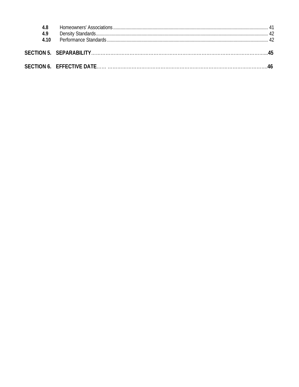| 4.9<br>4 1 0 |  |
|--------------|--|
|              |  |
|              |  |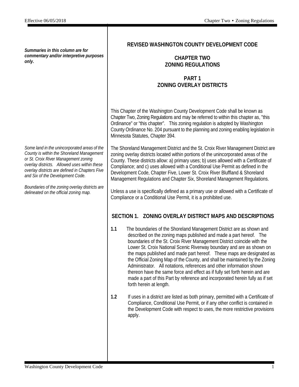*Summaries in this column are for commentary and/or interpretive purposes only.*

*Some land in the unincorporated areas of the County is within the Shoreland Management or St. Croix River Management zoning overlay districts. Allowed uses within these overlay districts are defined in Chapters Five and Six of the Development Code.*

*Boundaries of the zoning overlay districts are delineated on the official zoning map.*

#### **REVISED WASHINGTON COUNTY DEVELOPMENT CODE**

#### **CHAPTER TWO ZONING REGULATIONS**

#### **PART 1 ZONING OVERLAY DISTRICTS**

This Chapter of the Washington County Development Code shall be known as Chapter Two, Zoning Regulations and may be referred to within this chapter as, "this Ordinance" or "this chapter". This zoning regulation is adopted by Washington County Ordinance No. 204 pursuant to the planning and zoning enabling legislation in Minnesota Statutes, Chapter 394.

The Shoreland Management District and the St. Croix River Management District are zoning overlay districts located within portions of the unincorporated areas of the County. These districts allow: a) primary uses; b) uses allowed with a Certificate of Compliance; and c) uses allowed with a Conditional Use Permit as defined in the Development Code, Chapter Five, Lower St. Croix River Bluffland & Shoreland Management Regulations and Chapter Six, Shoreland Management Regulations.

Unless a use is specifically defined as a primary use or allowed with a Certificate of Compliance or a Conditional Use Permit, it is a prohibited use.

#### **SECTION 1. ZONING OVERLAY DISTRICT MAPS AND DESCRIPTIONS**

- **1.1** The boundaries of the Shoreland Management District are as shown and described on the zoning maps published and made a part hereof. The boundaries of the St. Croix River Management District coincide with the Lower St. Croix National Scenic Riverway boundary and are as shown on the maps published and made part hereof. These maps are designated as the Official Zoning Map of the County, and shall be maintained by the Zoning Administrator. All notations, references and other information shown thereon have the same force and effect as if fully set forth herein and are made a part of this Part by reference and incorporated herein fully as if set forth herein at length.
- **1.2** If uses in a district are listed as both primary, permitted with a Certificate of Compliance, Conditional Use Permit, or if any other conflict is contained in the Development Code with respect to uses, the more restrictive provisions apply.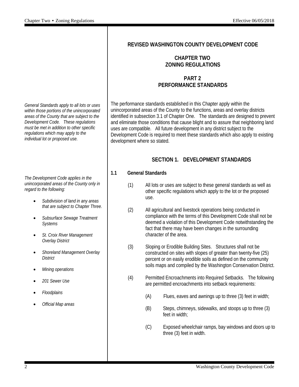*General Standards apply to all lots or uses within those portions of the unincorporated areas of the County that are subject to the Development Code. These regulations must be met in addition to other specific regulations which may apply to the individual lot or proposed use.*

*The Development Code applies in the unincorporated areas of the County only in regard to the following:*

- *Subdivision of land in any areas that are subject to Chapter Three.*
- *Subsurface Sewage Treatment Systems*
- *St. Croix River Management Overlay District*
- *Shoreland Management Overlay District*
- *Mining operations*
- *201 Sewer Use*
- *Floodplains*
- *Official Map areas*

#### **REVISED WASHINGTON COUNTY DEVELOPMENT CODE**

#### **CHAPTER TWO ZONING REGULATIONS**

#### **PART 2 PERFORMANCE STANDARDS**

The performance standards established in this Chapter apply within the unincorporated areas of the County to the functions, areas and overlay districts identified in subsection 3.1 of Chapter One. The standards are designed to prevent and eliminate those conditions that cause blight and to assure that neighboring land uses are compatible. All future development in any district subject to the Development Code is required to meet these standards which also apply to existing development where so stated.

#### **SECTION 1. DEVELOPMENT STANDARDS**

#### **1.1 General Standards**

- (1) All lots or uses are subject to these general standards as well as other specific regulations which apply to the lot or the proposed use.
- (2) All agricultural and livestock operations being conducted in compliance with the terms of this Development Code shall not be deemed a violation of this Development Code notwithstanding the fact that there may have been changes in the surrounding character of the area.
- (3) Sloping or Erodible Building Sites. Structures shall not be constructed on sites with slopes of greater than twenty-five (25) percent or on easily erodible soils as defined on the community soils maps and compiled by the Washington Conservation District.
- (4) Permitted Encroachments into Required Setbacks. The following are permitted encroachments into setback requirements:
	- (A) Flues, eaves and awnings up to three (3) feet in width;
	- (B) Steps, chimneys, sidewalks, and stoops up to three (3) feet in width;
	- (C) Exposed wheelchair ramps, bay windows and doors up to three (3) feet in width.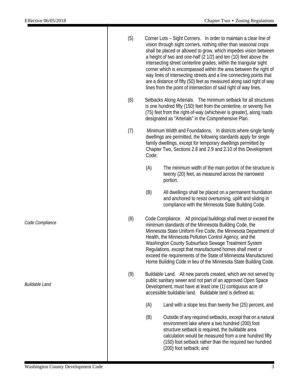|                                           | (5) |       | Corner Lots - Sight Corners. In order to maintain a clear line of<br>vision through sight corners, nothing other than seasonal crops<br>shall be placed or allowed to grow, which impedes vision between<br>a height of two and one-half (2 1/2) and ten (10) feet above the<br>intersecting street centerline grades, within the triangular sight<br>corner which is encompassed within the area between the right of<br>way lines of intersecting streets and a line connecting points that<br>are a distance of fifty (50) feet as measured along said right of way<br>lines from the point of intersection of said right of way lines. |
|-------------------------------------------|-----|-------|--------------------------------------------------------------------------------------------------------------------------------------------------------------------------------------------------------------------------------------------------------------------------------------------------------------------------------------------------------------------------------------------------------------------------------------------------------------------------------------------------------------------------------------------------------------------------------------------------------------------------------------------|
|                                           | (6) |       | Setbacks Along Arterials. The minimum setback for all structures<br>is one hundred fifty (150) feet from the centerline, or seventy five<br>(75) feet from the right-of-way (whichever is greater), along roads<br>designated as "Arterials" in the Comprehensive Plan.                                                                                                                                                                                                                                                                                                                                                                    |
|                                           | (7) | Code: | Minimum Width and Foundations. In districts where single family<br>dwellings are permitted, the following standards apply for single<br>family dwellings, except for temporary dwellings permitted by<br>Chapter Two, Sections 2.8 and 2.9 and 2.10 of this Development                                                                                                                                                                                                                                                                                                                                                                    |
|                                           |     | (A)   | The minimum width of the main portion of the structure is<br>twenty (20) feet, as measured across the narrowest<br>portion.                                                                                                                                                                                                                                                                                                                                                                                                                                                                                                                |
|                                           |     | (B)   | All dwellings shall be placed on a permanent foundation<br>and anchored to resist overturning, uplift and sliding in<br>compliance with the Minnesota State Building Code.                                                                                                                                                                                                                                                                                                                                                                                                                                                                 |
| Code Compliance                           | (8) |       | Code Compliance. All principal buildings shall meet or exceed the<br>minimum standards of the Minnesota Building Code, the<br>Minnesota State Uniform Fire Code, the Minnesota Department of<br>Health, the Minnesota Pollution Control Agency, and the<br>Washington County Subsurface Sewage Treatment System<br>Regulations, except that manufactured homes shall meet or<br>exceed the requirements of the State of Minnesota Manufactured<br>Home Building Code in lieu of the Minnesota State Building Code.                                                                                                                         |
| <b>Buildable Land</b>                     | (9) |       | Buildable Land. All new parcels created, which are not served by<br>public sanitary sewer and not part of an approved Open Space<br>Development, must have at least one (1) contiguous acre of<br>accessible buildable land. Buildable land is defined as:                                                                                                                                                                                                                                                                                                                                                                                 |
|                                           |     | (A)   | Land with a slope less than twenty five (25) percent, and                                                                                                                                                                                                                                                                                                                                                                                                                                                                                                                                                                                  |
|                                           |     | (B)   | Outside of any required setbacks, except that on a natural<br>environment lake where a two hundred (200) foot<br>structure setback is required, the buildable area<br>calculation would be measured from a one hundred fifty<br>(150) foot setback rather than the required two hundred<br>(200) foot setback; and                                                                                                                                                                                                                                                                                                                         |
| <b>Washington County Development Code</b> |     |       | 3                                                                                                                                                                                                                                                                                                                                                                                                                                                                                                                                                                                                                                          |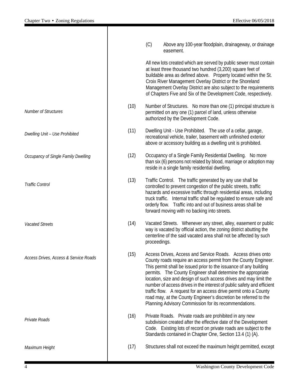|                                       |      | (C)<br>Above any 100-year floodplain, drainageway, or drainage<br>easement.                                                                                                                                                                                                                                                                                                                                                                                                                                                                                                                                         |
|---------------------------------------|------|---------------------------------------------------------------------------------------------------------------------------------------------------------------------------------------------------------------------------------------------------------------------------------------------------------------------------------------------------------------------------------------------------------------------------------------------------------------------------------------------------------------------------------------------------------------------------------------------------------------------|
|                                       |      | All new lots created which are served by public sewer must contain<br>at least three thousand two hundred (3,200) square feet of<br>buildable area as defined above. Property located within the St.<br>Croix River Management Overlay District or the Shoreland<br>Management Overlay District are also subject to the requirements<br>of Chapters Five and Six of the Development Code, respectively.                                                                                                                                                                                                             |
| <b>Number of Structures</b>           | (10) | Number of Structures. No more than one (1) principal structure is<br>permitted on any one (1) parcel of land, unless otherwise<br>authorized by the Development Code.                                                                                                                                                                                                                                                                                                                                                                                                                                               |
| Dwelling Unit - Use Prohibited        | (11) | Dwelling Unit - Use Prohibited. The use of a cellar, garage,<br>recreational vehicle, trailer, basement with unfinished exterior<br>above or accessory building as a dwelling unit is prohibited.                                                                                                                                                                                                                                                                                                                                                                                                                   |
| Occupancy of Single Family Dwelling   | (12) | Occupancy of a Single Family Residential Dwelling. No more<br>than six (6) persons not related by blood, marriage or adoption may<br>reside in a single family residential dwelling.                                                                                                                                                                                                                                                                                                                                                                                                                                |
| <b>Traffic Control</b>                | (13) | Traffic Control. The traffic generated by any use shall be<br>controlled to prevent congestion of the public streets, traffic<br>hazards and excessive traffic through residential areas, including<br>truck traffic. Internal traffic shall be regulated to ensure safe and<br>orderly flow. Traffic into and out of business areas shall be<br>forward moving with no backing into streets.                                                                                                                                                                                                                       |
| <b>Vacated Streets</b>                | (14) | Vacated Streets. Whenever any street, alley, easement or public<br>way is vacated by official action, the zoning district abutting the<br>centerline of the said vacated area shall not be affected by such<br>proceedings.                                                                                                                                                                                                                                                                                                                                                                                         |
| Access Drives, Access & Service Roads | (15) | Access Drives, Access and Service Roads. Access drives onto<br>County roads require an access permit from the County Engineer.<br>This permit shall be issued prior to the issuance of any building<br>permits. The County Engineer shall determine the appropriate<br>location, size and design of such access drives and may limit the<br>number of access drives in the interest of public safety and efficient<br>traffic flow. A request for an access drive permit onto a County<br>road may, at the County Engineer's discretion be referred to the<br>Planning Advisory Commission for its recommendations. |
| Private Roads                         | (16) | Private Roads. Private roads are prohibited in any new<br>subdivision created after the effective date of the Development<br>Code. Existing lots of record on private roads are subject to the<br>Standards contained in Chapter One, Section 13.4 (1) (A).                                                                                                                                                                                                                                                                                                                                                         |
| Maximum Height                        | (17) | Structures shall not exceed the maximum height permitted, except                                                                                                                                                                                                                                                                                                                                                                                                                                                                                                                                                    |
|                                       |      |                                                                                                                                                                                                                                                                                                                                                                                                                                                                                                                                                                                                                     |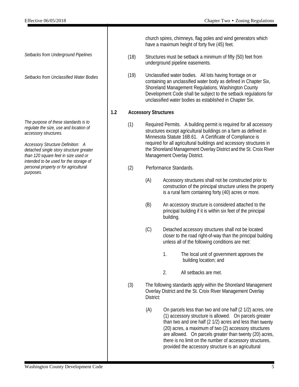*Setbacks from Underground Pipelines*

*Setbacks from Unclassified Water Bodies*

*The purpose of these standards is to regulate the size, use and location of accessory structures.*

*Accessory Structure Definition: A detached single story structure greater than 120 square feet in size used or intended to be used for the storage of personal property or for agricultural purposes.*

church spires, chimneys, flag poles and wind generators which have a maximum height of forty five (45) feet.

- (18) Structures must be setback a minimum of fifty (50) feet from underground pipeline easements.
- (19) Unclassified water bodies. All lots having frontage on or containing an unclassified water body as defined in Chapter Six, Shoreland Management Regulations, Washington County Development Code shall be subject to the setback regulations for unclassified water bodies as established in Chapter Six.

#### **1.2 Accessory Structures**

(1) Required Permits. A building permit is required for all accessory structures except agricultural buildings on a farm as defined in Minnesota Statute 16B.61. A Certificate of Compliance is required for all agricultural buildings and accessory structures in the Shoreland Management Overlay District and the St. Croix River Management Overlay District.

#### (2) Performance Standards.

- (A) Accessory structures shall not be constructed prior to construction of the principal structure unless the property is a rural farm containing forty (40) acres or more.
- (B) An accessory structure is considered attached to the principal building if it is within six feet of the principal building.
- (C) Detached accessory structures shall not be located closer to the road right-of-way than the principal building unless all of the following conditions are met:
	- 1. The local unit of government approves the building location; and
	- 2. All setbacks are met.
- (3) The following standards apply within the Shoreland Management Overlay District and the St. Croix River Management Overlay District:
	- (A) On parcels less than two and one half (2 1/2) acres, one (1) accessory structure is allowed. On parcels greater than two and one half (2 1/2) acres and less than twenty (20) acres, a maximum of two (2) accessory structures are allowed. On parcels greater than twenty (20) acres, there is no limit on the number of accessory structures, provided the accessory structure is an agricultural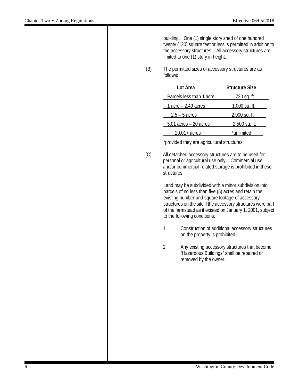building. One (1) single story shed of one hundred twenty (120) square feet or less is permitted in addition to the accessory structures. All accessory structures are limited to one (1) story in height.

(B) The permitted sizes of accessory structures are as follows:

| Lot Area                 | <b>Structure Size</b> |
|--------------------------|-----------------------|
| Parcels less than 1 acre | <u>720 sq. ft.</u>    |
| 1 acre $-$ 2.49 acres    | $1,000$ sq. ft.       |
| $2.5 - 5$ acres          | 2,000 sq. ft.         |
| $5.01$ acres $-20$ acres | $2,500$ sq. ft.       |
| $20.01 + \text{acres}$   | *unlimited            |

\*provided they are agricultural structures

(C) All detached accessory structures are to be used for personal or agricultural use only. Commercial use and/or commercial related storage is prohibited in these structures.

> Land may be subdivided with a minor subdivision into parcels of no less than five (5) acres and retain the existing number and square footage of accessory structures on the site if the accessory structures were part of the farmstead as it existed on January 1, 2001, subject to the following conditions:

- 1. Construction of additional accessory structures on the property is prohibited.
- 2. Any existing accessory structures that become "Hazardous Buildings" shall be repaired or removed by the owner.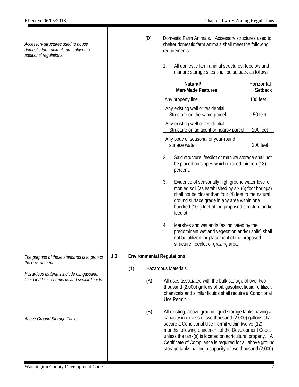*Accessory structures used to house domestic farm animals are subject to additional regulations.*

- (D) Domestic Farm Animals. Accessory structures used to shelter domestic farm animals shall meet the following requirements:
	- 1. All domestic farm animal structures, feedlots and manure storage sites shall be setback as follows:

|     |     |                                  |    | Natural/<br>Man-Made Features                                                                                                                                                                                                                                                                                                                                | Horizontal<br><b>Setback</b> |
|-----|-----|----------------------------------|----|--------------------------------------------------------------------------------------------------------------------------------------------------------------------------------------------------------------------------------------------------------------------------------------------------------------------------------------------------------------|------------------------------|
|     |     |                                  |    | Any property line                                                                                                                                                                                                                                                                                                                                            | 100 feet                     |
|     |     |                                  |    | Any existing well or residential<br>Structure on the same parcel                                                                                                                                                                                                                                                                                             | 50 feet                      |
|     |     |                                  |    | Any existing well or residential<br>Structure on adjacent or nearby parcel                                                                                                                                                                                                                                                                                   | 200 feet                     |
|     |     |                                  |    | Any body of seasonal or year-round<br>surface water                                                                                                                                                                                                                                                                                                          | 200 feet                     |
|     |     |                                  | 2. | Said structure, feedlot or manure storage shall not<br>be placed on slopes which exceed thirteen (13)<br>percent.                                                                                                                                                                                                                                            |                              |
|     |     |                                  | 3. | Evidence of seasonally high ground water level or<br>mottled soil (as established by six (6) foot borings)<br>shall not be closer than four (4) feet to the natural<br>ground surface grade in any area within one<br>hundred (100) feet of the proposed structure and/or<br>feedlot.                                                                        |                              |
|     |     |                                  | 4. | Marshes and wetlands (as indicated by the<br>predominant wetland vegetation and/or soils) shall<br>not be utilized for placement of the proposed<br>structure, feedlot or grazing area.                                                                                                                                                                      |                              |
| 1.3 |     | <b>Environmental Regulations</b> |    |                                                                                                                                                                                                                                                                                                                                                              |                              |
|     | (1) |                                  |    | Hazardous Materials.                                                                                                                                                                                                                                                                                                                                         |                              |
|     |     | (A)                              |    | All uses associated with the bulk storage of over two<br>thousand (2,000) gallons of oil, gasoline, liquid fertilizer,<br>chemicals and similar liquids shall require a Conditional<br>Use Permit.                                                                                                                                                           |                              |
|     |     | (B)                              |    | All existing, above ground liquid storage tanks having a<br>capacity in excess of two thousand (2,000) gallons shall<br>secure a Conditional Use Permit within twelve (12)<br>months following enactment of the Development Code,<br>unless the tank(s) is located on agricultural property. A<br>Certificate of Compliance is required for all above ground |                              |

storage tanks having a capacity of two thousand (2,000)

*The purpose of these standards is to protect the environment.*

*Hazardous Materials include oil, gasoline, liquid fertilizer, chemicals and similar liquids.*

*Above Ground Storage Tanks*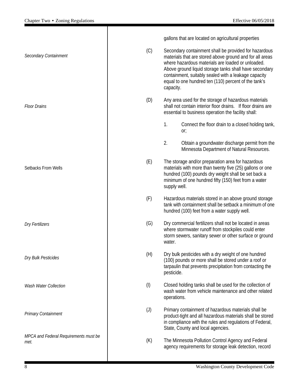|                                               |                   | gallons that are located on agricultural properties                                                                                                                                                                                                                                                                                                           |
|-----------------------------------------------|-------------------|---------------------------------------------------------------------------------------------------------------------------------------------------------------------------------------------------------------------------------------------------------------------------------------------------------------------------------------------------------------|
| Secondary Containment                         | (C)               | Secondary containment shall be provided for hazardous<br>materials that are stored above ground and for all areas<br>where hazardous materials are loaded or unloaded.<br>Above ground liquid storage tanks shall have secondary<br>containment, suitably sealed with a leakage capacity<br>equal to one hundred ten (110) percent of the tank's<br>capacity. |
| <b>Floor Drains</b>                           | (D)               | Any area used for the storage of hazardous materials<br>shall not contain interior floor drains. If floor drains are<br>essential to business operation the facility shall:                                                                                                                                                                                   |
|                                               |                   | 1.<br>Connect the floor drain to a closed holding tank,<br>or;                                                                                                                                                                                                                                                                                                |
|                                               |                   | 2.<br>Obtain a groundwater discharge permit from the<br>Minnesota Department of Natural Resources.                                                                                                                                                                                                                                                            |
| Setbacks From Wells                           | (E)               | The storage and/or preparation area for hazardous<br>materials with more than twenty five (25) gallons or one<br>hundred (100) pounds dry weight shall be set back a<br>minimum of one hundred fifty (150) feet from a water<br>supply well.                                                                                                                  |
|                                               | (F)               | Hazardous materials stored in an above ground storage<br>tank with containment shall be setback a minimum of one<br>hundred (100) feet from a water supply well.                                                                                                                                                                                              |
| <b>Dry Fertilizers</b>                        | (G)               | Dry commercial fertilizers shall not be located in areas<br>where stormwater runoff from stockpiles could enter<br>storm sewers, sanitary sewer or other surface or ground<br>water.                                                                                                                                                                          |
| Dry Bulk Pesticides                           | (H)               | Dry bulk pesticides with a dry weight of one hundred<br>(100) pounds or more shall be stored under a roof or<br>tarpaulin that prevents precipitation from contacting the<br>pesticide.                                                                                                                                                                       |
| Wash Water Collection                         | (1)               | Closed holding tanks shall be used for the collection of<br>wash water from vehicle maintenance and other related<br>operations.                                                                                                                                                                                                                              |
| <b>Primary Containment</b>                    | $\left( 1\right)$ | Primary containment of hazardous materials shall be<br>product-tight and all hazardous materials shall be stored<br>in compliance with the rules and regulations of Federal,<br>State, County and local agencies.                                                                                                                                             |
| MPCA and Federal Requirements must be<br>met. | (K)               | The Minnesota Pollution Control Agency and Federal<br>agency requirements for storage leak detection, record                                                                                                                                                                                                                                                  |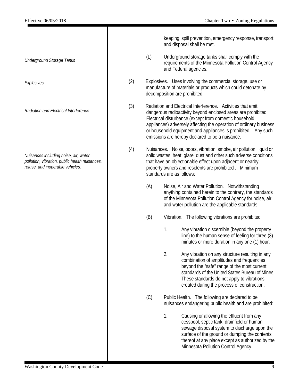*Underground Storage Tanks*

*Explosives*

*Radiation and Electrical Interference*

*Nuisances including noise, air, water pollution, vibration, public health nuisances, refuse, and inoperable vehicles.*

keeping, spill prevention, emergency response, transport, and disposal shall be met.

- (L) Underground storage tanks shall comply with the requirements of the Minnesota Pollution Control Agency and Federal agencies.
- (2) Explosives. Uses involving the commercial storage, use or manufacture of materials or products which could detonate by decomposition are prohibited.
- (3) Radiation and Electrical Interference. Activities that emit dangerous radioactivity beyond enclosed areas are prohibited. Electrical disturbance (except from domestic household appliances) adversely affecting the operation of ordinary business or household equipment and appliances is prohibited. Any such emissions are hereby declared to be a nuisance.
- (4) Nuisances. Noise, odors, vibration, smoke, air pollution, liquid or solid wastes, heat, glare, dust and other such adverse conditions that have an objectionable effect upon adjacent or nearby property owners and residents are prohibited . Minimum standards are as follows:
	- (A) Noise, Air and Water Pollution. Notwithstanding anything contained herein to the contrary, the standards of the Minnesota Pollution Control Agency for noise, air, and water pollution are the applicable standards.
	- (B) Vibration. The following vibrations are prohibited:
		- 1. Any vibration discernible (beyond the property line) to the human sense of feeling for three (3) minutes or more duration in any one (1) hour.
		- 2. Any vibration on any structure resulting in any combination of amplitudes and frequencies beyond the "safe" range of the most current standards of the United States Bureau of Mines. These standards do not apply to vibrations created during the process of construction.
	-
	- (C) Public Health. The following are declared to be nuisances endangering public health and are prohibited:
		- 1. Causing or allowing the effluent from any cesspool, septic tank, drainfield or human sewage disposal system to discharge upon the surface of the ground or dumping the contents thereof at any place except as authorized by the Minnesota Pollution Control Agency.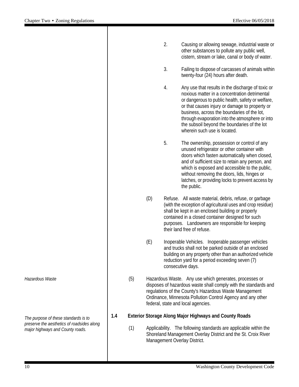|     | 2. | Causing or allowing sewage, industrial waste or<br>other substances to pollute any public well,<br>cistern, stream or lake, canal or body of water.                                                                                                                                                                                                                                         |
|-----|----|---------------------------------------------------------------------------------------------------------------------------------------------------------------------------------------------------------------------------------------------------------------------------------------------------------------------------------------------------------------------------------------------|
|     | 3. | Failing to dispose of carcasses of animals within<br>twenty-four (24) hours after death.                                                                                                                                                                                                                                                                                                    |
|     | 4. | Any use that results in the discharge of toxic or<br>noxious matter in a concentration detrimental<br>or dangerous to public health, safety or welfare,<br>or that causes injury or damage to property or<br>business, across the boundaries of the lot,<br>through evaporation into the atmosphere or into<br>the subsoil beyond the boundaries of the lot<br>wherein such use is located. |
|     | 5. | The ownership, possession or control of any<br>unused refrigerator or other container with<br>doors which fasten automatically when closed,<br>and of sufficient size to retain any person, and<br>which is exposed and accessible to the public,<br>without removing the doors, lids, hinges or<br>latches, or providing locks to prevent access by<br>the public.                         |
| (D) |    | Refuse. All waste material, debris, refuse, or garbage<br>(with the exception of agricultural uses and crop residue)<br>shall be kept in an enclosed building or properly<br>contained in a closed container designed for such<br>purposes. Landowners are responsible for keeping<br>their land free of refuse.                                                                            |

- (E) Inoperable Vehicles. Inoperable passenger vehicles and trucks shall not be parked outside of an enclosed building on any property other than an authorized vehicle reduction yard for a period exceeding seven (7) consecutive days.
- (5) Hazardous Waste. Any use which generates, processes or disposes of hazardous waste shall comply with the standards and regulations of the County's Hazardous Waste Management Ordinance, Minnesota Pollution Control Agency and any other federal, state and local agencies.

#### **1.4 Exterior Storage Along Major Highways and County Roads**

(1) Applicability. The following standards are applicable within the Shoreland Management Overlay District and the St. Croix River Management Overlay District.

#### *Hazardous Waste*

*The purpose of these standards is to preserve the aesthetics of roadsides along major highways and County roads.*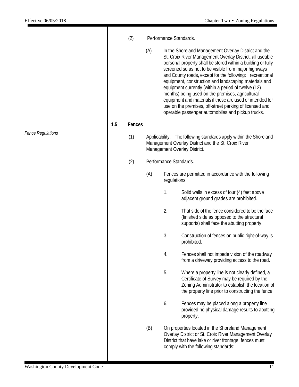|                          |     | (2)    |     | Performance Standards.                                                                                                                                   |                                                                                                                                                                                                                                                                                                                                                                                                                                                                                                                                                                                                                                                       |
|--------------------------|-----|--------|-----|----------------------------------------------------------------------------------------------------------------------------------------------------------|-------------------------------------------------------------------------------------------------------------------------------------------------------------------------------------------------------------------------------------------------------------------------------------------------------------------------------------------------------------------------------------------------------------------------------------------------------------------------------------------------------------------------------------------------------------------------------------------------------------------------------------------------------|
|                          |     |        | (A) |                                                                                                                                                          | In the Shoreland Management Overlay District and the<br>St. Croix River Management Overlay District, all useable<br>personal property shall be stored within a building or fully<br>screened so as not to be visible from major highways<br>and County roads, except for the following: recreational<br>equipment, construction and landscaping materials and<br>equipment currently (within a period of twelve (12)<br>months) being used on the premises, agricultural<br>equipment and materials if these are used or intended for<br>use on the premises, off-street parking of licensed and<br>operable passenger automobiles and pickup trucks. |
|                          | 1.5 | Fences |     |                                                                                                                                                          |                                                                                                                                                                                                                                                                                                                                                                                                                                                                                                                                                                                                                                                       |
| <b>Fence Regulations</b> |     | (1)    |     | Applicability. The following standards apply within the Shoreland<br>Management Overlay District and the St. Croix River<br>Management Overlay District. |                                                                                                                                                                                                                                                                                                                                                                                                                                                                                                                                                                                                                                                       |
|                          |     | (2)    |     | Performance Standards.                                                                                                                                   |                                                                                                                                                                                                                                                                                                                                                                                                                                                                                                                                                                                                                                                       |
|                          |     |        | (A) | regulations:                                                                                                                                             | Fences are permitted in accordance with the following                                                                                                                                                                                                                                                                                                                                                                                                                                                                                                                                                                                                 |
|                          |     |        |     | 1.                                                                                                                                                       | Solid walls in excess of four (4) feet above<br>adjacent ground grades are prohibited.                                                                                                                                                                                                                                                                                                                                                                                                                                                                                                                                                                |
|                          |     |        |     | 2.                                                                                                                                                       | That side of the fence considered to be the face<br>(finished side as opposed to the structural<br>supports) shall face the abutting property.                                                                                                                                                                                                                                                                                                                                                                                                                                                                                                        |
|                          |     |        |     | 3.                                                                                                                                                       | Construction of fences on public right-of-way is<br>prohibited.                                                                                                                                                                                                                                                                                                                                                                                                                                                                                                                                                                                       |
|                          |     |        |     | 4.                                                                                                                                                       | Fences shall not impede vision of the roadway<br>from a driveway providing access to the road.                                                                                                                                                                                                                                                                                                                                                                                                                                                                                                                                                        |
|                          |     |        |     | 5.                                                                                                                                                       | Where a property line is not clearly defined, a<br>Certificate of Survey may be required by the<br>Zoning Administrator to establish the location of<br>the property line prior to constructing the fence.                                                                                                                                                                                                                                                                                                                                                                                                                                            |
|                          |     |        |     | 6.                                                                                                                                                       | Fences may be placed along a property line<br>provided no physical damage results to abutting<br>property.                                                                                                                                                                                                                                                                                                                                                                                                                                                                                                                                            |
|                          |     |        | (B) |                                                                                                                                                          | On properties located in the Shoreland Management<br>Overlay District or St. Croix River Management Overlay<br>District that have lake or river frontage, fences must<br>comply with the following standards:                                                                                                                                                                                                                                                                                                                                                                                                                                         |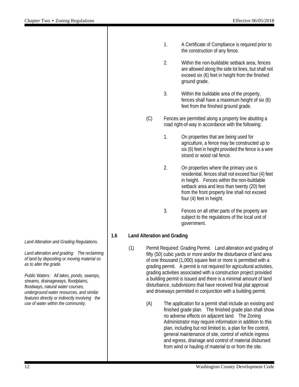|     |     |                                    | 1. | A Certificate of Compliance is required prior to<br>the construction of any fence.                                                                                                                                                                                     |
|-----|-----|------------------------------------|----|------------------------------------------------------------------------------------------------------------------------------------------------------------------------------------------------------------------------------------------------------------------------|
|     |     |                                    | 2. | Within the non-buildable setback area, fences<br>are allowed along the side lot lines, but shall not<br>exceed six (6) feet in height from the finished<br>ground grade.                                                                                               |
|     |     |                                    | 3. | Within the buildable area of the property,<br>fences shall have a maximum height of six (6)<br>feet from the finished ground grade.                                                                                                                                    |
|     |     | (C)                                |    | Fences are permitted along a property line abutting a<br>road right-of-way in accordance with the following:                                                                                                                                                           |
|     |     |                                    | 1. | On properties that are being used for<br>agriculture, a fence may be constructed up to<br>six (6) feet in height provided the fence is a wire<br>strand or wood rail fence.                                                                                            |
|     |     |                                    | 2. | On properties where the primary use is<br>residential, fences shall not exceed four (4) feet<br>in height. Fences within the non-buildable<br>setback area and less than twenty (20) feet<br>from the front property line shall not exceed<br>four (4) feet in height. |
|     |     |                                    | 3. | Fences on all other parts of the property are<br>subject to the regulations of the local unit of<br>government.                                                                                                                                                        |
| 1.6 |     | <b>Land Alteration and Grading</b> |    |                                                                                                                                                                                                                                                                        |
|     | (1) |                                    |    | Permit Required: Grading Permit. Land alteration and grading of<br>fifty (50) cubic yards or more and/or the disturbance of land area<br>of one thousand (1,000) square feet or more is permitted with a                                                               |

- grading permit. A permit is not required for agricultural activities, grading activities associated with a construction project provided a building permit is issued and there is a minimal amount of land disturbance, subdivisions that have received final plat approval and driveways permitted in conjunction with a building permit.
	- (A) The application for a permit shall include an existing and finished grade plan. The finished grade plan shall show no adverse effects on adjacent land. The Zoning Administrator may require information in addition to this plan, including but not limited to, a plan for fire control, general maintenance of site, control of vehicle ingress and egress, drainage and control of material disbursed from wind or hauling of material to or from the site.

*Land Alteration and Grading Regulations.*

*Land alteration and grading: The reclaiming of land by depositing or moving material so as to alter the grade.*

*Public Waters: All lakes, ponds, swamps, streams, drainageways, floodplains, floodways, natural water courses, underground water resources, and similar features directly or indirectly involving the use of water within the community.*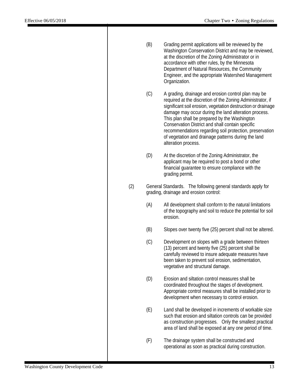|     | (B) | Grading permit applications will be reviewed by the<br>Washington Conservation District and may be reviewed,<br>at the discretion of the Zoning Administrator or in<br>accordance with other rules, by the Minnesota<br>Department of Natural Resources, the Community<br>Engineer, and the appropriate Watershed Management<br>Organization.                                                                                                                                           |
|-----|-----|-----------------------------------------------------------------------------------------------------------------------------------------------------------------------------------------------------------------------------------------------------------------------------------------------------------------------------------------------------------------------------------------------------------------------------------------------------------------------------------------|
|     | (C) | A grading, drainage and erosion control plan may be<br>required at the discretion of the Zoning Administrator, if<br>significant soil erosion, vegetation destruction or drainage<br>damage may occur during the land alteration process.<br>This plan shall be prepared by the Washington<br>Conservation District and shall contain specific<br>recommendations regarding soil protection, preservation<br>of vegetation and drainage patterns during the land<br>alteration process. |
|     | (D) | At the discretion of the Zoning Administrator, the<br>applicant may be required to post a bond or other<br>financial guarantee to ensure compliance with the<br>grading permit.                                                                                                                                                                                                                                                                                                         |
| (2) |     | General Standards. The following general standards apply for<br>grading, drainage and erosion control:                                                                                                                                                                                                                                                                                                                                                                                  |
|     | (A) | All development shall conform to the natural limitations<br>of the topography and soil to reduce the potential for soil<br>erosion.                                                                                                                                                                                                                                                                                                                                                     |
|     | (B) | Slopes over twenty five (25) percent shall not be altered.                                                                                                                                                                                                                                                                                                                                                                                                                              |
|     | (C) | Development on slopes with a grade between thirteen<br>(13) percent and twenty five (25) percent shall be<br>carefully reviewed to insure adequate measures have<br>been taken to prevent soil erosion, sedimentation,<br>vegetative and structural damage.                                                                                                                                                                                                                             |
|     | (D) | Erosion and siltation control measures shall be<br>coordinated throughout the stages of development.<br>Appropriate control measures shall be installed prior to<br>development when necessary to control erosion.                                                                                                                                                                                                                                                                      |
|     | (E) | Land shall be developed in increments of workable size<br>such that erosion and siltation controls can be provided<br>as construction progresses. Only the smallest practical<br>area of land shall be exposed at any one period of time.                                                                                                                                                                                                                                               |
|     | (F) | The drainage system shall be constructed and<br>operational as soon as practical during construction.                                                                                                                                                                                                                                                                                                                                                                                   |
|     |     |                                                                                                                                                                                                                                                                                                                                                                                                                                                                                         |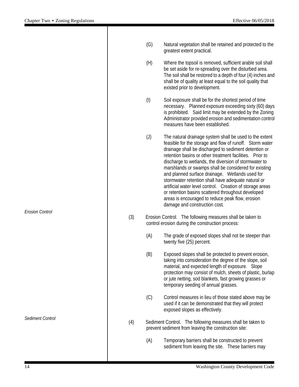| (G) | Natural vegetation shall be retained and protected to the |
|-----|-----------------------------------------------------------|
|     | greatest extent practical.                                |

(H) Where the topsoil is removed, sufficient arable soil shall be set aside for re-spreading over the disturbed area. The soil shall be restored to a depth of four (4) inches and shall be of quality at least equal to the soil quality that existed prior to development.

(I) Soil exposure shall be for the shortest period of time necessary. Planned exposure exceeding sixty (60) days is prohibited. Said limit may be extended by the Zoning Administrator provided erosion and sedimentation control measures have been established.

(J) The natural drainage system shall be used to the extent feasible for the storage and flow of runoff. Storm water drainage shall be discharged to sediment detention or retention basins or other treatment facilities. Prior to discharge to wetlands, the diversion of stormwater to marshlands or swamps shall be considered for existing and planned surface drainage. Wetlands used for stormwater retention shall have adequate natural or artificial water level control. Creation of storage areas or retention basins scattered throughout developed areas is encouraged to reduce peak flow, erosion damage and construction cost.

- (3) Erosion Control. The following measures shall be taken to control erosion during the construction process:
	- (A) The grade of exposed slopes shall not be steeper than twenty five (25) percent.
	- (B) Exposed slopes shall be protected to prevent erosion, taking into consideration the degree of the slope, soil material, and expected length of exposure. Slope protection may consist of mulch, sheets of plastic, burlap or jute netting, sod blankets, fast growing grasses or temporary seeding of annual grasses.
	- (C) Control measures in lieu of those stated above may be used if it can be demonstrated that they will protect exposed slopes as effectively.
- (4) Sediment Control. The following measures shall be taken to prevent sediment from leaving the construction site:
	- (A) Temporary barriers shall be constructed to prevent sediment from leaving the site. These barriers may

*Erosion Control*

*Sediment Control*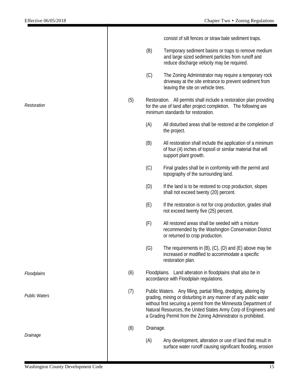consist of silt fences or straw bale sediment traps.

|                      |     | (B)       | Temporary sediment basins or traps to remove medium<br>and large sized sediment particles from runoff and<br>reduce discharge velocity may be required.                                                                                                                                                                                       |
|----------------------|-----|-----------|-----------------------------------------------------------------------------------------------------------------------------------------------------------------------------------------------------------------------------------------------------------------------------------------------------------------------------------------------|
|                      |     | (C)       | The Zoning Administrator may require a temporary rock<br>driveway at the site entrance to prevent sediment from<br>leaving the site on vehicle tires.                                                                                                                                                                                         |
| Restoration          | (5) |           | Restoration. All permits shall include a restoration plan providing<br>for the use of land after project completion. The following are<br>minimum standards for restoration.                                                                                                                                                                  |
|                      |     | (A)       | All disturbed areas shall be restored at the completion of<br>the project.                                                                                                                                                                                                                                                                    |
|                      |     | (B)       | All restoration shall include the application of a minimum<br>of four (4) inches of topsoil or similar material that will<br>support plant growth.                                                                                                                                                                                            |
|                      |     | (C)       | Final grades shall be in conformity with the permit and<br>topography of the surrounding land.                                                                                                                                                                                                                                                |
|                      |     | (D)       | If the land is to be restored to crop production, slopes<br>shall not exceed twenty (20) percent.                                                                                                                                                                                                                                             |
|                      |     | (E)       | If the restoration is not for crop production, grades shall<br>not exceed twenty five (25) percent.                                                                                                                                                                                                                                           |
|                      |     | (F)       | All restored areas shall be seeded with a mixture<br>recommended by the Washington Conservation District<br>or returned to crop production.                                                                                                                                                                                                   |
|                      |     | (G)       | The requirements in $(B)$ , $(C)$ , $(D)$ and $(E)$ above may be<br>increased or modified to accommodate a specific<br>restoration plan.                                                                                                                                                                                                      |
| Floodplains          | (6) |           | Floodplains. Land alteration in floodplains shall also be in<br>accordance with Floodplain regulations.                                                                                                                                                                                                                                       |
| <b>Public Waters</b> | (7) |           | Public Waters. Any filling, partial filling, dredging, altering by<br>grading, mining or disturbing in any manner of any public water<br>without first securing a permit from the Minnesota Department of<br>Natural Resources, the United States Army Corp of Engineers and<br>a Grading Permit from the Zoning Administrator is prohibited. |
|                      | (8) | Drainage. |                                                                                                                                                                                                                                                                                                                                               |
| Drainage             |     | (A)       | Any development, alteration or use of land that result in<br>surface water runoff causing significant flooding, erosion                                                                                                                                                                                                                       |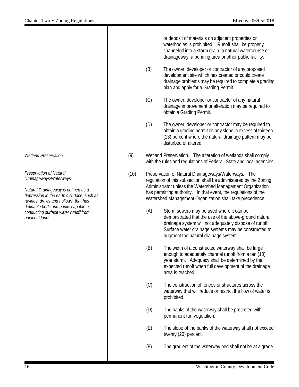or deposit of materials on adjacent properties or waterbodies is prohibited. Runoff shall be properly channeled into a storm drain, a natural watercourse or drainageway, a ponding area or other public facility.

- (B) The owner, developer or contractor of any proposed development site which has created or could create drainage problems may be required to complete a grading plan and apply for a Grading Permit.
- (C) The owner, developer or contractor of any natural drainage improvement or alteration may be required to obtain a Grading Permit.
- (D) The owner, developer or contractor may be required to obtain a grading permit on any slope in excess of thirteen (13) percent where the natural drainage pattern may be disturbed or altered.
- (9) Wetland Preservation. The alteration of wetlands shall comply with the rules and regulations of Federal, State and local agencies.
- (10) Preservation of Natural Drainageways/Waterways. The regulation of this subsection shall be administered by the Zoning Administrator unless the Watershed Management Organization has permitting authority. In that event, the regulations of the Watershed Management Organization shall take precedence.
	- (A) Storm sewers may be used where it can be demonstrated that the use of the above-ground natural drainage system will not adequately dispose of runoff. Surface water drainage systems may be constructed to augment the natural drainage system.
	- (B) The width of a constructed waterway shall be large enough to adequately channel runoff from a ten (10) year storm. Adequacy shall be determined by the expected runoff when full development of the drainage area is reached.
	- (C) The construction of fences or structures across the waterway that will reduce or restrict the flow of water is prohibited.
	- (D) The banks of the waterway shall be protected with permanent turf vegetation.
	- (E) The slope of the banks of the waterway shall not exceed twenty (20) percent.
	- (F) The gradient of the waterway bed shall not be at a grade

*Wetland Preservation*

*Preservation of Natural Drainageways/Waterways*

*Natural Drainageway is defined as a depression in the earth's surface, such as ravines, draws and hollows, that has definable beds and banks capable or conducting surface water runoff from adjacent lands.*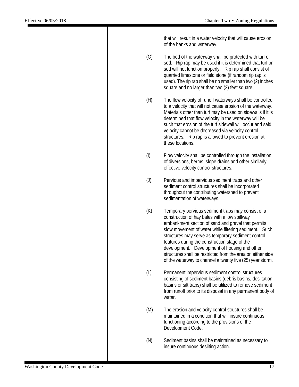that will result in a water velocity that will cause erosion of the banks and waterway.

- (G) The bed of the waterway shall be protected with turf or sod. Rip rap may be used if it is determined that turf or sod will not function properly. Rip rap shall consist of quarried limestone or field stone (if random rip rap is used). The rip rap shall be no smaller than two (2) inches square and no larger than two (2) feet square.
- (H) The flow velocity of runoff waterways shall be controlled to a velocity that will not cause erosion of the waterway. Materials other than turf may be used on sidewalls if it is determined that flow velocity in the waterway will be such that erosion of the turf sidewall will occur and said velocity cannot be decreased via velocity control structures. Rip rap is allowed to prevent erosion at these locations.
- (I) Flow velocity shall be controlled through the installation of diversions, berms, slope drains and other similarly effective velocity control structures.
- (J) Pervious and impervious sediment traps and other sediment control structures shall be incorporated throughout the contributing watershed to prevent sedimentation of waterways.
- (K) Temporary pervious sediment traps may consist of a construction of hay bales with a low spillway embankment section of sand and gravel that permits slow movement of water while filtering sediment. Such structures may serve as temporary sediment control features during the construction stage of the development. Development of housing and other structures shall be restricted from the area on either side of the waterway to channel a twenty five (25) year storm.
- (L) Permanent impervious sediment control structures consisting of sediment basins (debris basins, desiltation basins or silt traps) shall be utilized to remove sediment from runoff prior to its disposal in any permanent body of water.
- (M) The erosion and velocity control structures shall be maintained in a condition that will insure continuous functioning according to the provisions of the Development Code.
- (N) Sediment basins shall be maintained as necessary to insure continuous desilting action.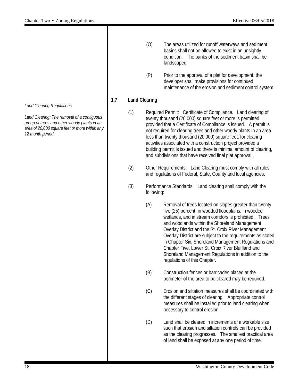*Land Clearing Regulations.*

*Land Clearing: The removal of a contiguous group of trees and other woody plants in an area of 20,000 square feet or more within any 12 month period.*

- (O) The areas utilized for runoff waterways and sediment basins shall not be allowed to exist in an unsightly condition. The banks of the sediment basin shall be landscaped.
- (P) Prior to the approval of a plat for development, the developer shall make provisions for continued maintenance of the erosion and sediment control system.

#### **1.7 Land Clearing**

- (1) Required Permit: Certificate of Compliance. Land clearing of twenty thousand (20,000) square feet or more is permitted provided that a Certificate of Compliance is issued. A permit is not required for clearing trees and other woody plants in an area less than twenty thousand (20,000) square feet, for clearing activities associated with a construction project provided a building permit is issued and there is minimal amount of clearing, and subdivisions that have received final plat approval.
- (2) Other Requirements. Land Clearing must comply with all rules and regulations of Federal, State, County and local agencies.
- (3) Performance Standards. Land clearing shall comply with the following:
	- (A) Removal of trees located on slopes greater than twenty five (25) percent, in wooded floodplains, in wooded wetlands, and in stream corridors is prohibited. Trees and woodlands within the Shoreland Management Overlay District and the St. Croix River Management Overlay District are subject to the requirements as stated in Chapter Six, Shoreland Management Regulations and Chapter Five, Lower St. Croix River Bluffland and Shoreland Management Regulations in addition to the regulations of this Chapter.
	- (B) Construction fences or barricades placed at the perimeter of the area to be cleared may be required.
	- (C) Erosion and siltation measures shall be coordinated with the different stages of clearing. Appropriate control measures shall be installed prior to land clearing when necessary to control erosion.
	- (D) Land shall be cleared in increments of a workable size such that erosion and siltation controls can be provided as the clearing progresses. The smallest practical area of land shall be exposed at any one period of time.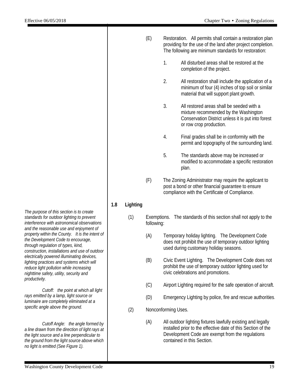|     |          | (E)                       |    | Restoration. All permits shall contain a restoration plan<br>providing for the use of the land after project completion.<br>The following are minimum standards for restoration: |
|-----|----------|---------------------------|----|----------------------------------------------------------------------------------------------------------------------------------------------------------------------------------|
|     |          |                           | 1. | All disturbed areas shall be restored at the<br>completion of the project.                                                                                                       |
|     |          |                           | 2. | All restoration shall include the application of a<br>minimum of four (4) inches of top soil or similar<br>material that will support plant growth.                              |
|     |          |                           | 3. | All restored areas shall be seeded with a<br>mixture recommended by the Washington<br>Conservation District unless it is put into forest<br>or row crop production.              |
|     |          |                           | 4. | Final grades shall be in conformity with the<br>permit and topography of the surrounding land.                                                                                   |
|     |          |                           | 5. | The standards above may be increased or<br>modified to accommodate a specific restoration<br>plan.                                                                               |
|     |          | (F)                       |    | The Zoning Administrator may require the applicant to<br>post a bond or other financial guarantee to ensure<br>compliance with the Certificate of Compliance.                    |
| 1.8 | Lighting |                           |    |                                                                                                                                                                                  |
|     | (1)      | Exemptions.<br>following: |    | The standards of this section shall not apply to the                                                                                                                             |
|     |          | (A)                       |    | Temporary holiday lighting. The Development Code<br>does not prohibit the use of temporary outdoor lighting<br>used during customary holiday seasons.                            |
|     |          | (B)                       |    | Civic Event Lighting. The Development Code does not<br>prohibit the use of temporary outdoor lighting used for<br>civic celebrations and promotions.                             |

- (C) Airport Lighting required for the safe operation of aircraft.
- (D) Emergency Lighting by police, fire and rescue authorities.
- (2) Nonconforming Uses.
	- (A) All outdoor lighting fixtures lawfully existing and legally installed prior to the effective date of this Section of the Development Code are exempt from the regulations contained in this Section.

*The purpose of this section is to create standards for outdoor lighting to prevent interference with astronomical observations and the reasonable use and enjoyment of property within the County. It is the intent of the Development Code to encourage, through regulation of types, kind, construction, installations and use of outdoor electrically powered illuminating devices, lighting practices and systems which will reduce light pollution while increasing nighttime safety, utility, security and productivity.*

*Cutoff: the point at which all light rays emitted by a lamp, light source or luminaire are completely eliminated at a specific angle above the ground.*

*Cutoff Angle: the angle formed by a line drawn from the direction of light rays at the light source and a line perpendicular to the ground from the light source above which no light is emitted (See Figure 1).*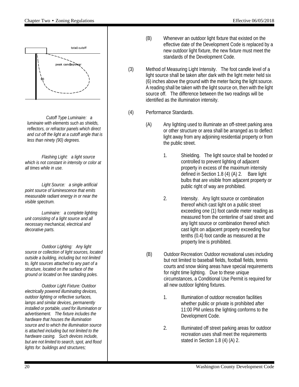

*Cutoff Type Luminaire: a luminaire with elements such as shields, reflectors, or refractor panels which direct and cut off the light at a cutoff angle that is less than ninety (90) degrees.*

*Flashing Light: a light source which is not constant in intensity or color at all times while in use.*

*Light Source: a single artificial point source of luminescence that emits measurable radiant energy in or near the visible spectrum.*

*Luminaire: a complete lighting unit consisting of a light source and all necessary mechanical, electrical and decorative parts.*

*Outdoor Lighting: Any light source or collection of light sources, located outside a building, including but not limited to, light sources attached to any part of a structure, located on the surface of the ground or located on free standing poles.* 

*Outdoor Light Fixture: Outdoor electrically powered illuminating devices, outdoor lighting or reflective surfaces, lamps and similar devices, permanently installed or portable, used for illumination or advertisement. The fixture includes the hardware that houses the illumination source and to which the illumination source is attached including but not limited to the hardware casing. Such devices include, but are not limited to search, spot, and flood lights for: buildings and structures;* 

- (B) Whenever an outdoor light fixture that existed on the effective date of the Development Code is replaced by a new outdoor light fixture, the new fixture must meet the standards of the Development Code.
- (3) Method of Measuring Light Intensity. The foot candle level of a light source shall be taken after dark with the light meter held six (6) inches above the ground with the meter facing the light source. A reading shall be taken with the light source on, then with the light source off. The difference between the two readings will be identified as the illumination intensity.
- (4) Performance Standards.
	- (A) Any lighting used to illuminate an off-street parking area or other structure or area shall be arranged as to deflect light away from any adjoining residential property or from the public street.
		- 1. Shielding. The light source shall be hooded or controlled to prevent lighting of adjacent property in excess of the maximum intensity defined in Section 1.8 (4) (A) 2. Bare light bulbs that are visible from adjacent property or public right of way are prohibited.
		- 2. Intensity. Any light source or combination thereof which cast light on a public street exceeding one (1) foot candle meter reading as measured from the centerline of said street and any light source or combination thereof which cast light on adjacent property exceeding four tenths (0.4) foot candle as measured at the property line is prohibited.
	- (B) Outdoor Recreation: Outdoor recreational uses including but not limited to baseball fields, football fields, tennis courts and snow skiing areas have special requirements for night time lighting. Due to these unique circumstances, a Conditional Use Permit is required for all new outdoor lighting fixtures.
		- 1. Illumination of outdoor recreation facilities whether public or private is prohibited after 11:00 PM unless the lighting conforms to the Development Code.
		- 2. Illuminated off street parking areas for outdoor recreation uses shall meet the requirements stated in Section 1.8 (4) (A) 2.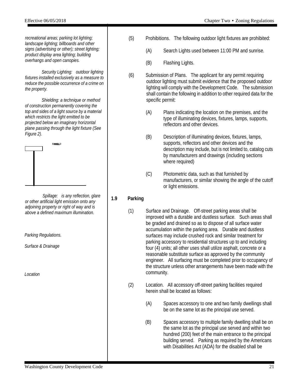*recreational areas; parking lot lighting; landscape lighting; billboards and other signs (advertising or other); street lighting; product display area lighting; building overhangs and open canopies.*

*Security Lighting: outdoor lighting fixtures installed exclusively as a measure to reduce the possible occurrence of a crime on the property.*

*Shielding: a technique or method of construction permanently covering the top and sides of a light source by a material which restricts the light emitted to be projected below an imaginary horizontal plane passing through the light fixture (See Figure 2).*



*Spillage: is any reflection, glare or other artificial light emission onto any adjoining property or right of way and is above a defined maximum illumination.*

*Parking Regulations.*

*Surface & Drainage*

*Location*

- 
- (5) Prohibitions. The following outdoor light fixtures are prohibited:
	- (A) Search Lights used between 11:00 PM and sunrise.
	- (B) Flashing Lights.
- (6) Submission of Plans. The applicant for any permit requiring outdoor lighting must submit evidence that the proposed outdoor lighting will comply with the Development Code. The submission shall contain the following in addition to other required data for the specific permit:
	- (A) Plans indicating the location on the premises, and the type of illuminating devices, fixtures, lamps, supports, reflectors and other devices.
	- (B) Description of illuminating devices, fixtures, lamps, supports, reflectors and other devices and the description may include, but is not limited to, catalog cuts by manufacturers and drawings (including sections where required)
	- (C) Photometric data, such as that furnished by manufacturers, or similar showing the angle of the cutoff or light emissions.

#### **1.9 Parking**

- (1) Surface and Drainage. Off-street parking areas shall be improved with a durable and dustless surface. Such areas shall be graded and drained so as to dispose of all surface water accumulation within the parking area. Durable and dustless surfaces may include crushed rock and similar treatment for parking accessory to residential structures up to and including four (4) units; all other uses shall utilize asphalt, concrete or a reasonable substitute surface as approved by the community engineer. All surfacing must be completed prior to occupancy of the structure unless other arrangements have been made with the community.
- (2) Location. All accessory off-street parking facilities required herein shall be located as follows:
	- (A) Spaces accessory to one and two family dwellings shall be on the same lot as the principal use served.
	- (B) Spaces accessory to multiple family dwelling shall be on the same lot as the principal use served and within two hundred (200) feet of the main entrance to the principal building served. Parking as required by the Americans with Disabilities Act (ADA) for the disabled shall be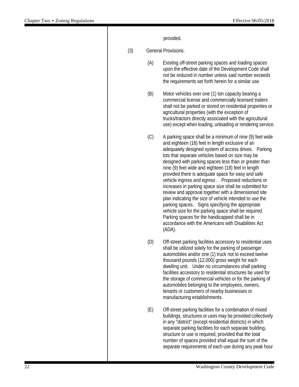|     |     | provided.                                                                                                                                                                                                                                                                                                                                                                                                                                                                                                                                                                                                                                                                                                                                                                                                                                                          |
|-----|-----|--------------------------------------------------------------------------------------------------------------------------------------------------------------------------------------------------------------------------------------------------------------------------------------------------------------------------------------------------------------------------------------------------------------------------------------------------------------------------------------------------------------------------------------------------------------------------------------------------------------------------------------------------------------------------------------------------------------------------------------------------------------------------------------------------------------------------------------------------------------------|
| (3) |     | <b>General Provisions.</b>                                                                                                                                                                                                                                                                                                                                                                                                                                                                                                                                                                                                                                                                                                                                                                                                                                         |
|     | (A) | Existing off-street parking spaces and loading spaces<br>upon the effective date of the Development Code shall<br>not be reduced in number unless said number exceeds<br>the requirements set forth herein for a similar use.                                                                                                                                                                                                                                                                                                                                                                                                                                                                                                                                                                                                                                      |
|     | (B) | Motor vehicles over one (1) ton capacity bearing a<br>commercial license and commercially licensed trailers<br>shall not be parked or stored on residential properties or<br>agricultural properties (with the exception of<br>trucks/tractors directly associated with the agricultural<br>use) except when loading, unloading or rendering service.                                                                                                                                                                                                                                                                                                                                                                                                                                                                                                              |
|     | (C) | A parking space shall be a minimum of nine (9) feet wide<br>and eighteen (18) feet in length exclusive of an<br>adequately designed system of access drives. Parking<br>lots that separate vehicles based on size may be<br>designed with parking spaces less than or greater than<br>nine (9) feet wide and eighteen (18) feet in length<br>provided there is adequate space for easy and safe<br>vehicle ingress and egress. Proposed reductions or<br>increases in parking space size shall be submitted for<br>review and approval together with a dimensioned site<br>plan indicating the size of vehicle intended to use the<br>parking spaces. Signs specifying the appropriate<br>vehicle size for the parking space shall be required.<br>Parking spaces for the handicapped shall be in<br>accordance with the Americans with Disabilities Act<br>(ADA). |
|     | (D) | Off-street parking facilities accessory to residential uses<br>shall be utilized solely for the parking of passenger<br>automobiles and/or one (1) truck not to exceed twelve<br>thousand pounds (12,000) gross weight for each<br>dwelling unit. Under no circumstances shall parking<br>facilities accessory to residential structures be used for<br>the storage of commercial vehicles or for the parking of<br>automobiles belonging to the employees, owners,<br>tenants or customers of nearby businesses or<br>manufacturing establishments.                                                                                                                                                                                                                                                                                                               |
|     | (E) | Off-street parking facilities for a combination of mixed<br>buildings, structures or uses may be provided collectively<br>in any "district" (except residential districts) in which<br>separate parking facilities for each separate building,<br>structure or use is required, provided that the total<br>number of spaces provided shall equal the sum of the<br>separate requirements of each use during any peak hour                                                                                                                                                                                                                                                                                                                                                                                                                                          |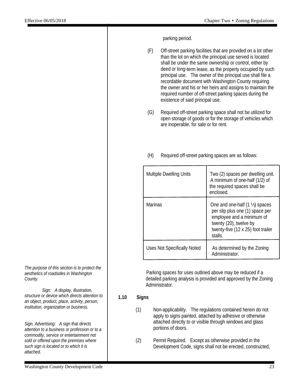parking period.

- (F) Off-street parking facilities that are provided on a lot other than the lot on which the principal use served is located shall be under the same ownership or control, either by deed or long-term lease, as the property occupied by such principal use. The owner of the principal use shall file a recordable document with Washington County requiring the owner and his or her heirs and assigns to maintain the required number of off-street parking spaces during the existence of said principal use.
- (G) Required off-street parking space shall not be utilized for open storage of goods or for the storage of vehicles which are inoperable, for sale or for rent.
- (H) Required off-street parking spaces are as follows:

| <b>Multiple Dwelling Units</b>     | Two (2) spaces per dwelling unit.<br>A minimum of one-half (1/2) of<br>the required spaces shall be<br>enclosed.                                                                     |
|------------------------------------|--------------------------------------------------------------------------------------------------------------------------------------------------------------------------------------|
| <b>Marinas</b>                     | One and one-half $(1 \frac{1}{2})$ spaces<br>per slip plus one (1) space per<br>employee and a minimum of<br>twenty (20), twelve by<br>twenty-five (12 x 25) foot trailer<br>stalls. |
| <b>Uses Not Specifically Noted</b> | As determined by the Zoning<br>Administrator.                                                                                                                                        |

Parking spaces for uses outlined above may be reduced if a detailed parking analysis is provided and approved by the Zoning Administrator.

#### **1.10 Signs**

- (1) Non-applicability. The regulations contained herein do not apply to signs painted, attached by adhesive or otherwise attached directly to or visible through windows and glass portions of doors.
- (2) Permit Required. Except as otherwise provided in the Development Code, signs shall not be erected, constructed,

*The purpose of this section is to protect the aesthetics of roadsides in Washington County.*

*Sign: A display, illustration, structure or device which directs attention to an object, product, place, activity, person, institution, organization or business.*

*Sign, Advertising: A sign that directs attention to a business or profession or to a commodity, service or entertainment not sold or offered upon the premises where such sign is located or to which it is attached.*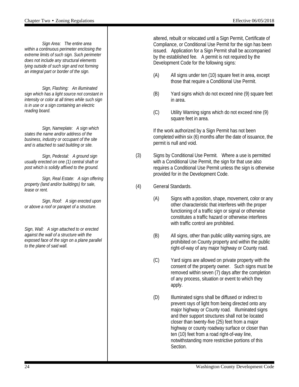*Sign Area: The entire area within a continuous perimeter enclosing the extreme limits of such sign. Such perimeter does not include any structural elements lying outside of such sign and not forming an integral part or border of the sign.*

*Sign, Flashing: An illuminated sign which has a light source not constant in intensity or color at all times while such sign is in use or a sign containing an electric reading board.*

*Sign, Nameplate: A sign which states the name and/or address of the business, industry or occupant of the site and is attached to said building or site.*

*Sign, Pedestal: A ground sign usually erected on one (1) central shaft or post which is solidly affixed to the ground.*

*Sign, Real Estate: A sign offering property (land and/or buildings) for sale, lease or rent.*

*Sign, Roof: A sign erected upon or above a roof or parapet of a structure.*

*Sign, Wall: A sign attached to or erected against the wall of a structure with the exposed face of the sign on a plane parallel to the plane of said wall.*

altered, rebuilt or relocated until a Sign Permit, Certificate of Compliance, or Conditional Use Permit for the sign has been issued. Application for a Sign Permit shall be accompanied by the established fee. A permit is not required by the Development Code for the following signs:

- (A) All signs under ten (10) square feet in area, except those that require a Conditional Use Permit.
- (B) Yard signs which do not exceed nine (9) square feet in area.
- (C) Utility Warning signs which do not exceed nine (9) square feet in area.

If the work authorized by a Sign Permit has not been completed within six (6) months after the date of issuance, the permit is null and void.

- (3) Signs by Conditional Use Permit. Where a use is permitted with a Conditional Use Permit, the sign for that use also requires a Conditional Use Permit unless the sign is otherwise provided for in the Development Code.
- (4) General Standards.
	- (A) Signs with a position, shape, movement, color or any other characteristic that interferes with the proper functioning of a traffic sign or signal or otherwise constitutes a traffic hazard or otherwise interferes with traffic control are prohibited.
	- (B) All signs, other than public utility warning signs, are prohibited on County property and within the public right-of-way of any major highway or County road.
	- (C) Yard signs are allowed on private property with the consent of the property owner. Such signs must be removed within seven (7) days after the completion of any process, situation or event to which they apply.
	- (D) Illuminated signs shall be diffused or indirect to prevent rays of light from being directed onto any major highway or County road. Illuminated signs and their support structures shall not be located closer than twenty-five (25) feet from a major highway or county roadway surface or closer than ten (10) feet from a road right-of-way line, notwithstanding more restrictive portions of this Section.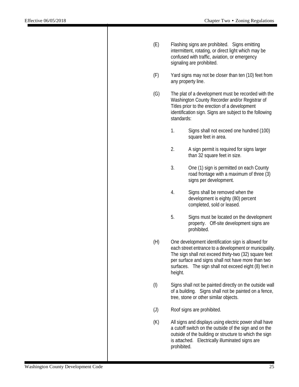| (E)       | Flashing signs are prohibited. Signs emitting<br>intermittent, rotating, or direct light which may be<br>confused with traffic, aviation, or emergency<br>signaling are prohibited.                                                                                                             |                                                                                                                                                                                                                              |  |  |
|-----------|-------------------------------------------------------------------------------------------------------------------------------------------------------------------------------------------------------------------------------------------------------------------------------------------------|------------------------------------------------------------------------------------------------------------------------------------------------------------------------------------------------------------------------------|--|--|
| (F)       | Yard signs may not be closer than ten (10) feet from<br>any property line.                                                                                                                                                                                                                      |                                                                                                                                                                                                                              |  |  |
| (G)       | The plat of a development must be recorded with the<br>Washington County Recorder and/or Registrar of<br>Titles prior to the erection of a development<br>identification sign. Signs are subject to the following<br>standards:                                                                 |                                                                                                                                                                                                                              |  |  |
|           | 1.                                                                                                                                                                                                                                                                                              | Signs shall not exceed one hundred (100)<br>square feet in area.                                                                                                                                                             |  |  |
|           | 2.                                                                                                                                                                                                                                                                                              | A sign permit is required for signs larger<br>than 32 square feet in size.                                                                                                                                                   |  |  |
|           | 3.                                                                                                                                                                                                                                                                                              | One (1) sign is permitted on each County<br>road frontage with a maximum of three (3)<br>signs per development.                                                                                                              |  |  |
|           | 4.                                                                                                                                                                                                                                                                                              | Signs shall be removed when the<br>development is eighty (80) percent<br>completed, sold or leased.                                                                                                                          |  |  |
|           | 5.                                                                                                                                                                                                                                                                                              | Signs must be located on the development<br>property. Off-site development signs are<br>prohibited.                                                                                                                          |  |  |
| (H)       | One development identification sign is allowed for<br>each street entrance to a development or municipality.<br>The sign shall not exceed thirty-two (32) square feet<br>per surface and signs shall not have more than two<br>surfaces. The sign shall not exceed eight (8) feet in<br>height. |                                                                                                                                                                                                                              |  |  |
| $($ l $)$ |                                                                                                                                                                                                                                                                                                 | Signs shall not be painted directly on the outside wall<br>of a building. Signs shall not be painted on a fence,<br>tree, stone or other similar objects.                                                                    |  |  |
| (J)       |                                                                                                                                                                                                                                                                                                 | Roof signs are prohibited.                                                                                                                                                                                                   |  |  |
| (K)       | prohibited.                                                                                                                                                                                                                                                                                     | All signs and displays using electric power shall have<br>a cutoff switch on the outside of the sign and on the<br>outside of the building or structure to which the sign<br>is attached. Electrically illuminated signs are |  |  |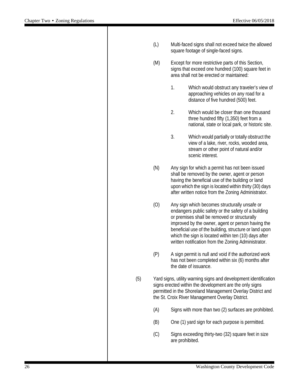|     | (L) | Multi-faced signs shall not exceed twice the allowed<br>square footage of single-faced signs.                                                                                                                                                 |                                                                                                                                                                                                                                                                                                                                                                                    |  |  |  |
|-----|-----|-----------------------------------------------------------------------------------------------------------------------------------------------------------------------------------------------------------------------------------------------|------------------------------------------------------------------------------------------------------------------------------------------------------------------------------------------------------------------------------------------------------------------------------------------------------------------------------------------------------------------------------------|--|--|--|
|     | (M) |                                                                                                                                                                                                                                               | Except for more restrictive parts of this Section,<br>signs that exceed one hundred (100) square feet in<br>area shall not be erected or maintained:                                                                                                                                                                                                                               |  |  |  |
|     |     | 1.                                                                                                                                                                                                                                            | Which would obstruct any traveler's view of<br>approaching vehicles on any road for a<br>distance of five hundred (500) feet.                                                                                                                                                                                                                                                      |  |  |  |
|     |     | 2.                                                                                                                                                                                                                                            | Which would be closer than one thousand<br>three hundred fifty (1,350) feet from a<br>national, state or local park, or historic site.                                                                                                                                                                                                                                             |  |  |  |
|     |     | 3.                                                                                                                                                                                                                                            | Which would partially or totally obstruct the<br>view of a lake, river, rocks, wooded area,<br>stream or other point of natural and/or<br>scenic interest.                                                                                                                                                                                                                         |  |  |  |
|     | (N) |                                                                                                                                                                                                                                               | Any sign for which a permit has not been issued<br>shall be removed by the owner, agent or person<br>having the beneficial use of the building or land<br>upon which the sign is located within thirty (30) days<br>after written notice from the Zoning Administrator.                                                                                                            |  |  |  |
|     | (0) |                                                                                                                                                                                                                                               | Any sign which becomes structurally unsafe or<br>endangers public safety or the safety of a building<br>or premises shall be removed or structurally<br>improved by the owner, agent or person having the<br>beneficial use of the building, structure or land upon<br>which the sign is located within ten (10) days after<br>written notification from the Zoning Administrator. |  |  |  |
|     | (P) |                                                                                                                                                                                                                                               | A sign permit is null and void if the authorized work<br>has not been completed within six (6) months after<br>the date of issuance.                                                                                                                                                                                                                                               |  |  |  |
| (5) |     | Yard signs, utility warning signs and development identification<br>signs erected within the development are the only signs<br>permitted in the Shoreland Management Overlay District and<br>the St. Croix River Management Overlay District. |                                                                                                                                                                                                                                                                                                                                                                                    |  |  |  |
|     | (A) |                                                                                                                                                                                                                                               | Signs with more than two (2) surfaces are prohibited.                                                                                                                                                                                                                                                                                                                              |  |  |  |
|     | (B) |                                                                                                                                                                                                                                               | One (1) yard sign for each purpose is permitted.                                                                                                                                                                                                                                                                                                                                   |  |  |  |
|     | (C) | Signs exceeding thirty-two (32) square feet in size<br>are prohibited.                                                                                                                                                                        |                                                                                                                                                                                                                                                                                                                                                                                    |  |  |  |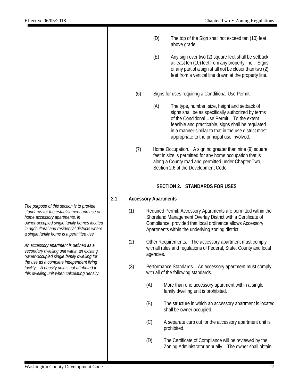- (D) The top of the Sign shall not exceed ten (10) feet above grade.
- (E) Any sign over two (2) square feet shall be setback at least ten (10) feet from any property line. Signs or any part of a sign shall not be closer than two (2) feet from a vertical line drawn at the property line.
- (6) Signs for uses requiring a Conditional Use Permit.
	- (A) The type, number, size, height and setback of signs shall be as specifically authorized by terms of the Conditional Use Permit. To the extent feasible and practicable, signs shall be regulated in a manner similar to that in the use district most appropriate to the principal use involved.
- (7) Home Occupation. A sign no greater than nine (9) square feet in size is permitted for any home occupation that is along a County road and permitted under Chapter Two, Section 2.6 of the Development Code.

#### **SECTION 2. STANDARDS FOR USES**

#### **2.1 Accessory Apartments**

- (1) Required Permit: Accessory Apartments are permitted within the Shoreland Management Overlay District with a Certificate of Compliance, provided that local ordinance allows Accessory Apartments within the underlying zoning district.
- (2) Other Requirements. The accessory apartment must comply with all rules and regulations of Federal, State, County and local agencies.
- (3) Performance Standards. An accessory apartment must comply with all of the following standards.
	- (A) More than one accessory apartment within a single family dwelling unit is prohibited.
	- (B) The structure in which an accessory apartment is located shall be owner occupied.
	- (C) A separate curb cut for the accessory apartment unit is prohibited.
	- (D) The Certificate of Compliance will be reviewed by the Zoning Administrator annually. The owner shall obtain

*The purpose of this section is to provide standards for the establishment and use of home accessory apartments, in owner-occupied single family homes located in agricultural and residential districts where a single family home is a permitted use.*

*An accessory apartment is defined as a secondary dwelling unit within an existing owner-occupied single family dwelling for the use as a complete independent living facility. A density unit is not attributed to this dwelling unit when calculating density.*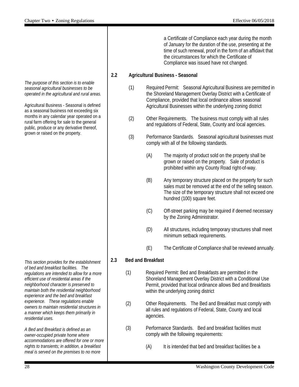*The purpose of this section is to enable seasonal agricultural businesses to be operated in the agricultural and rural areas.*

Agricultural Business - Seasonal is defined as a seasonal business not exceeding six months in any calendar year operated on a rural farm offering for sale to the general public, produce or any derivative thereof, grown or raised on the property.

*This section provides for the establishment of bed and breakfast facilities. The regulations are intended to allow for a more efficient use of residential areas if the neighborhood character is preserved to maintain both the residential neighborhood experience and the bed and breakfast experience. These regulations enable owners to maintain residential structures in a manner which keeps them primarily in residential uses.*

*A Bed and Breakfast is defined as an owner-occupied private home where accommodations are offered for one or more nights to transients; in addition, a breakfast meal is served on the premises to no more* 

a Certificate of Compliance each year during the month of January for the duration of the use, presenting at the time of such renewal, proof in the form of an affidavit that the circumstances for which the Certificate of Compliance was issued have not changed.

#### **2.2 Agricultural Business - Seasonal**

- (1) Required Permit: Seasonal Agricultural Business are permitted in the Shoreland Management Overlay District with a Certificate of Compliance, provided that local ordinance allows seasonal Agricultural Businesses within the underlying zoning district
- (2) Other Requirements. The business must comply with all rules and regulations of Federal, State, County and local agencies.
- (3) Performance Standards. Seasonal agricultural businesses must comply with all of the following standards.
	- (A) The majority of product sold on the property shall be grown or raised on the property. Sale of product is prohibited within any County Road right-of-way.
	- (B) Any temporary structure placed on the property for such sales must be removed at the end of the selling season. The size of the temporary structure shall not exceed one hundred (100) square feet.
	- (C) Off-street parking may be required if deemed necessary by the Zoning Administrator.
	- (D) All structures, including temporary structures shall meet minimum setback requirements.
	- (E) The Certificate of Compliance shall be reviewed annually.

#### **2.3 Bed and Breakfast**

- (1) Required Permit: Bed and Breakfasts are permitted in the Shoreland Management Overlay District with a Conditional Use Permit, provided that local ordinance allows Bed and Breakfasts within the underlying zoning district
- (2) Other Requirements. The Bed and Breakfast must comply with all rules and regulations of Federal, State, County and local agencies.
- (3) Performance Standards. Bed and breakfast facilities must comply with the following requirements:
	- (A) It is intended that bed and breakfast facilities be a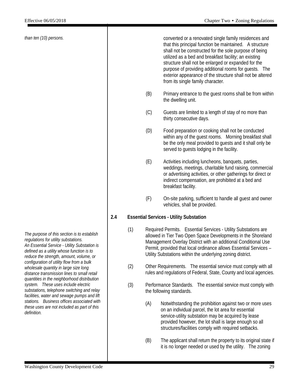*than ten (10) persons.*

converted or a renovated single family residences and that this principal function be maintained. A structure shall not be constructed for the sole purpose of being utilized as a bed and breakfast facility; an existing structure shall not be enlarged or expanded for the purpose of providing additional rooms for guests. The exterior appearance of the structure shall not be altered from its single family character.

- (B) Primary entrance to the guest rooms shall be from within the dwelling unit.
- (C) Guests are limited to a length of stay of no more than thirty consecutive days.
- (D) Food preparation or cooking shall not be conducted within any of the guest rooms. Morning breakfast shall be the only meal provided to guests and it shall only be served to guests lodging in the facility.
- (E) Activities including luncheons, banquets, parties, weddings, meetings, charitable fund raising, commercial or advertising activities, or other gatherings for direct or indirect compensation, are prohibited at a bed and breakfast facility.
- (F) On-site parking, sufficient to handle all guest and owner vehicles, shall be provided.

#### **2.4 Essential Services - Utility Substation**

- (1) Required Permits. Essential Services Utility Substations are allowed in Tier Two Open Space Developments in the Shoreland Management Overlay District with an additional Conditional Use Permit, provided that local ordinance allows Essential Services – Utility Substations within the underlying zoning district.
- (2) Other Requirements. The essential service must comply with all rules and regulations of Federal, State, County and local agencies.
- (3) Performance Standards. The essential service must comply with the following standards.
	- (A) Notwithstanding the prohibition against two or more uses on an individual parcel, the lot area for essential service-utility substation may be acquired by lease provided however, the lot shall is large enough so all structures/facilities comply with required setbacks.
	- (B) The applicant shall return the property to its original state if it is no longer needed or used by the utility. The zoning

*The purpose of this section is to establish regulations for utility substations. An Essential Service - Utility Substation is defined as a utility whose function is to reduce the strength, amount, volume, or configuration of utility flow from a bulk wholesale quantity in large size long distance transmission lines to small retail quantities in the neighborhood distribution system. These uses include electric substations, telephone switching and relay facilities, water and sewage pumps and lift stations. Business offices associated with these uses are not included as part of this definition.*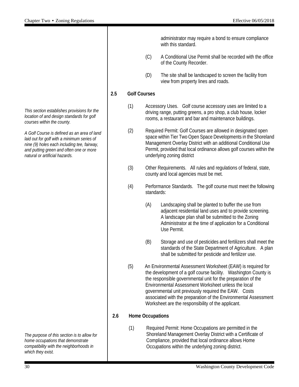*This section establishes provisions for the location of and design standards for golf courses within the county.*

*A Golf Course is defined as an area of land laid out for golf with a minimum series of nine (9) holes each including tee, fairway, and putting green and often one or more natural or artificial hazards.*

*The purpose of this section is to allow for home occupations that demonstrate compatibility with the neighborhoods in which they exist.*

administrator may require a bond to ensure compliance with this standard.

- (C) A Conditional Use Permit shall be recorded with the office of the County Recorder.
- (D) The site shall be landscaped to screen the facility from view from property lines and roads.

#### **2.5 Golf Courses**

- (1) Accessory Uses. Golf course accessory uses are limited to a driving range, putting greens, a pro shop, a club house, locker rooms, a restaurant and bar and maintenance buildings.
- (2) Required Permit: Golf Courses are allowed in designated open space within Tier Two Open Space Developments in the Shoreland Management Overlay District with an additional Conditional Use Permit, provided that local ordinance allows golf courses within the underlying zoning district
- (3) Other Requirements. All rules and regulations of federal, state, county and local agencies must be met.
- (4) Performance Standards. The golf course must meet the following standards:
	- (A) Landscaping shall be planted to buffer the use from adjacent residential land uses and to provide screening. A landscape plan shall be submitted to the Zoning Administrator at the time of application for a Conditional Use Permit.
	- (B) Storage and use of pesticides and fertilizers shall meet the standards of the State Department of Agriculture. A plan shall be submitted for pesticide and fertilizer use.
- (5) An Environmental Assessment Worksheet (EAW) is required for the development of a golf course facility. Washington County is the responsible governmental unit for the preparation of the Environmental Assessment Worksheet unless the local governmental unit previously required the EAW. Costs associated with the preparation of the Environmental Assessment Worksheet are the responsibility of the applicant.

#### **2.6 Home Occupations**

(1) Required Permit: Home Occupations are permitted in the Shoreland Management Overlay District with a Certificate of Compliance, provided that local ordinance allows Home Occupations within the underlying zoning district.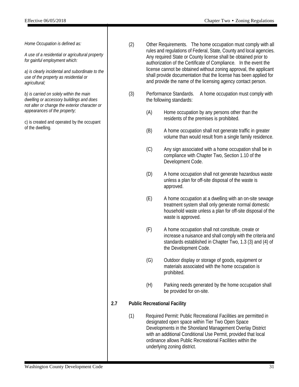*Home Occupation is defined as:* 

*A use of a residential or agricultural property for gainful employment which:*

*a) is clearly incidental and subordinate to the use of the property as residential or agricultural;* 

*b) is carried on solely within the main dwelling or accessory buildings and does not alter or change the exterior character or appearances of the property;* 

c) is created and operated by the occupant of the dwelling.

- (2) Other Requirements. The home occupation must comply with all rules and regulations of Federal, State, County and local agencies. Any required State or County license shall be obtained prior to authorization of the Certificate of Compliance. In the event the license cannot be obtained without zoning approval, the applicant shall provide documentation that the license has been applied for and provide the name of the licensing agency contact person.
- (3) Performance Standards. A home occupation must comply with the following standards:
	- (A) Home occupation by any persons other than the residents of the premises is prohibited.
	- (B) A home occupation shall not generate traffic in greater volume than would result from a single family residence.
	- (C) Any sign associated with a home occupation shall be in compliance with Chapter Two, Section 1.10 of the Development Code.
	- (D) A home occupation shall not generate hazardous waste unless a plan for off-site disposal of the waste is approved.
	- (E) A home occupation at a dwelling with an on-site sewage treatment system shall only generate normal domestic household waste unless a plan for off-site disposal of the waste is approved.
	- (F) A home occupation shall not constitute, create or increase a nuisance and shall comply with the criteria and standards established in Chapter Two, 1.3 (3) and (4) of the Development Code.
	- (G) Outdoor display or storage of goods, equipment or materials associated with the home occupation is prohibited.
	- (H) Parking needs generated by the home occupation shall be provided for on-site.

#### **2.7 Public Recreational Facility**

(1) Required Permit: Public Recreational Facilities are permitted in designated open space within Tier Two Open Space Developments in the Shoreland Management Overlay District with an additional Conditional Use Permit, provided that local ordinance allows Public Recreational Facilities within the underlying zoning district.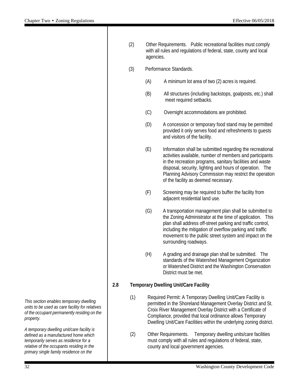(2) Other Requirements. Public recreational facilities must comply with all rules and regulations of federal, state, county and local agencies. (3) Performance Standards. (A) A minimum lot area of two (2) acres is required. (B) All structures (including backstops, goalposts, etc.) shall meet required setbacks. (C) Overnight accommodations are prohibited. (D) A concession or temporary food stand may be permitted provided it only serves food and refreshments to guests and visitors of the facility. (E) Information shall be submitted regarding the recreational activities available, number of members and participants in the recreation programs, sanitary facilities and waste disposal, security, lighting and hours of operation. The Planning Advisory Commission may restrict the operation of the facility as deemed necessary. (F) Screening may be required to buffer the facility from adjacent residential land use. (G) A transportation management plan shall be submitted to the Zoning Administrator at the time of application. This plan shall address off-street parking and traffic control, including the mitigation of overflow parking and traffic movement to the public street system and impact on the surrounding roadways. (H) A grading and drainage plan shall be submitted. The standards of the Watershed Management Organization or Watershed District and the Washington Conservation District must be met. **2.8 Temporary Dwelling Unit/Care Facility**  (1) Required Permit: A Temporary Dwelling Unit/Care Facility is permitted in the Shoreland Management Overlay District and St. Croix River Management Overlay District with a Certificate of Compliance, provided that local ordinance allows Temporary Dwelling Unit/Care Facilities within the underlying zoning district. (2) Other Requirements. Temporary dwelling units/care facilities must comply with all rules and regulations of federal, state, county and local government agencies.

*This section enables temporary dwelling units to be used as care facility for relatives of the occupant permanently residing on the property.*

*A temporary dwelling unit/care facility is defined as a manufactured home which temporarily serves as residence for a relative of the occupants residing in the primary single family residence on the*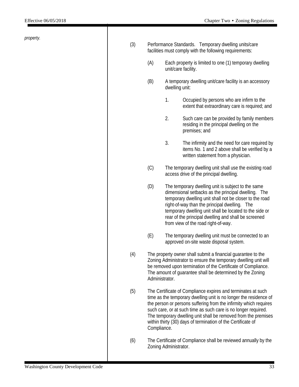*property.*

| (3) | Performance Standards. Temporary dwelling units/care<br>facilities must comply with the following requirements:                                                                                                                                                                                                                                                                                                           |                                                                                                                                                                                                                                                                                                                                                                                 |                                                                                                                                          |  |  |  |  |
|-----|---------------------------------------------------------------------------------------------------------------------------------------------------------------------------------------------------------------------------------------------------------------------------------------------------------------------------------------------------------------------------------------------------------------------------|---------------------------------------------------------------------------------------------------------------------------------------------------------------------------------------------------------------------------------------------------------------------------------------------------------------------------------------------------------------------------------|------------------------------------------------------------------------------------------------------------------------------------------|--|--|--|--|
|     | (A)                                                                                                                                                                                                                                                                                                                                                                                                                       | Each property is limited to one (1) temporary dwelling<br>unit/care facility.                                                                                                                                                                                                                                                                                                   |                                                                                                                                          |  |  |  |  |
|     | (B)                                                                                                                                                                                                                                                                                                                                                                                                                       | A temporary dwelling unit/care facility is an accessory<br>dwelling unit:                                                                                                                                                                                                                                                                                                       |                                                                                                                                          |  |  |  |  |
|     |                                                                                                                                                                                                                                                                                                                                                                                                                           | 1.                                                                                                                                                                                                                                                                                                                                                                              | Occupied by persons who are infirm to the<br>extent that extraordinary care is required; and                                             |  |  |  |  |
|     |                                                                                                                                                                                                                                                                                                                                                                                                                           | 2.                                                                                                                                                                                                                                                                                                                                                                              | Such care can be provided by family members<br>residing in the principal dwelling on the<br>premises; and                                |  |  |  |  |
|     |                                                                                                                                                                                                                                                                                                                                                                                                                           | 3.                                                                                                                                                                                                                                                                                                                                                                              | The infirmity and the need for care required by<br>items No. 1 and 2 above shall be verified by a<br>written statement from a physician. |  |  |  |  |
|     | (C)                                                                                                                                                                                                                                                                                                                                                                                                                       | The temporary dwelling unit shall use the existing road<br>access drive of the principal dwelling.                                                                                                                                                                                                                                                                              |                                                                                                                                          |  |  |  |  |
|     | (D)                                                                                                                                                                                                                                                                                                                                                                                                                       | The temporary dwelling unit is subject to the same<br>dimensional setbacks as the principal dwelling. The<br>temporary dwelling unit shall not be closer to the road<br>right-of-way than the principal dwelling. The<br>temporary dwelling unit shall be located to the side or<br>rear of the principal dwelling and shall be screened<br>from view of the road right-of-way. |                                                                                                                                          |  |  |  |  |
|     | (E)                                                                                                                                                                                                                                                                                                                                                                                                                       | The temporary dwelling unit must be connected to an<br>approved on-site waste disposal system.                                                                                                                                                                                                                                                                                  |                                                                                                                                          |  |  |  |  |
| (4) | The property owner shall submit a financial guarantee to the<br>Zoning Administrator to ensure the temporary dwelling unit will<br>be removed upon termination of the Certificate of Compliance.<br>The amount of guarantee shall be determined by the Zoning<br>Administrator.                                                                                                                                           |                                                                                                                                                                                                                                                                                                                                                                                 |                                                                                                                                          |  |  |  |  |
| (5) | The Certificate of Compliance expires and terminates at such<br>time as the temporary dwelling unit is no longer the residence of<br>the person or persons suffering from the infirmity which requires<br>such care, or at such time as such care is no longer required.<br>The temporary dwelling unit shall be removed from the premises<br>within thirty (30) days of termination of the Certificate of<br>Compliance. |                                                                                                                                                                                                                                                                                                                                                                                 |                                                                                                                                          |  |  |  |  |
| (6) |                                                                                                                                                                                                                                                                                                                                                                                                                           | The Certificate of Compliance shall be reviewed annually by the<br>Zoning Administrator.                                                                                                                                                                                                                                                                                        |                                                                                                                                          |  |  |  |  |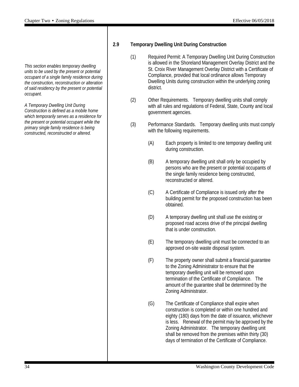*This section enables temporary dwelling units to be used by the present or potential occupant of a single family residence during the construction, reconstruction or alteration of said residency by the present or potential occupant.*

*A Temporary Dwelling Unit During Construction is defined as a mobile home which temporarily serves as a residence for the present or potential occupant while the primary single family residence is being constructed, reconstructed or altered.*

#### **2.9 Temporary Dwelling Unit During Construction**

- (1) Required Permit: A Temporary Dwelling Unit During Construction is allowed in the Shoreland Management Overlay District and the St. Croix River Management Overlay District with a Certificate of Compliance, provided that local ordinance allows Temporary Dwelling Units during construction within the underlying zoning district.
- (2) Other Requirements. Temporary dwelling units shall comply with all rules and regulations of Federal, State, County and local government agencies.
- (3) Performance Standards. Temporary dwelling units must comply with the following requirements.
	- (A) Each property is limited to one temporary dwelling unit during construction.
	- (B) A temporary dwelling unit shall only be occupied by persons who are the present or potential occupants of the single family residence being constructed, reconstructed or altered.
	- (C) A Certificate of Compliance is issued only after the building permit for the proposed construction has been obtained.
	- (D) A temporary dwelling unit shall use the existing or proposed road access drive of the principal dwelling that is under construction.
	- (E) The temporary dwelling unit must be connected to an approved on-site waste disposal system.
	- (F) The property owner shall submit a financial guarantee to the Zoning Administrator to ensure that the temporary dwelling unit will be removed upon termination of the Certificate of Compliance. The amount of the guarantee shall be determined by the Zoning Administrator.
	- (G) The Certificate of Compliance shall expire when construction is completed or within one hundred and eighty (180) days from the date of issuance, whichever is less. Renewal of the permit may be approved by the Zoning Administrator. The temporary dwelling unit shall be removed from the premises within thirty (30) days of termination of the Certificate of Compliance.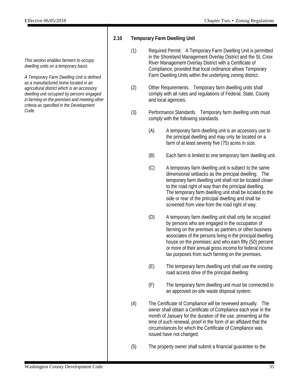*This section enables farmers to occupy dwelling units on a temporary basis.*

*A Temporary Farm Dwelling Unit is defined as a manufactured home located in an agricultural district which is an accessory dwelling unit occupied by persons engaged in farming on the premises and meeting other criteria as specified in the Development Code.*

#### **2.10 Temporary Farm Dwelling Unit**

- (1) Required Permit: A Temporary Farm Dwelling Unit is permitted in the Shoreland Management Overlay District and the St. Croix River Management Overlay District with a Certificate of Compliance, provided that local ordinance allows Temporary Farm Dwelling Units within the underlying zoning district.
- (2) Other Requirements. Temporary farm dwelling units shall comply with all rules and regulations of Federal, State, County and local agencies.
- (3) Performance Standards. Temporary farm dwelling units must comply with the following standards.
	- (A) A temporary farm dwelling unit is an accessory use to the principal dwelling and may only be located on a farm of at least seventy five (75) acres in size.
	- (B) Each farm is limited to one temporary farm dwelling unit.
	- (C) A temporary farm dwelling unit is subject to the same dimensional setbacks as the principal dwelling. The temporary farm dwelling unit shall not be located closer to the road right of way than the principal dwelling. The temporary farm dwelling unit shall be located to the side or rear of the principal dwelling and shall be screened from view from the road right of way.
	- (D) A temporary farm dwelling unit shall only be occupied by persons who are engaged in the occupation of farming on the premises as partners or other business associates of the persons living in the principal dwelling house on the premises; and who earn fifty (50) percent or more of their annual gross income for federal income tax purposes from such farming on the premises.
	- (E) The temporary farm dwelling unit shall use the existing road access drive of the principal dwelling.
	- (F) The temporary farm dwelling unit must be connected to an approved on-site waste disposal system.
- (4) The Certificate of Compliance will be reviewed annually. The owner shall obtain a Certificate of Compliance each year in the month of January for the duration of the use, presenting at the time of such renewal, proof in the form of an affidavit that the circumstances for which the Certificate of Compliance was issued have not changed.
- (5) The property owner shall submit a financial guarantee to the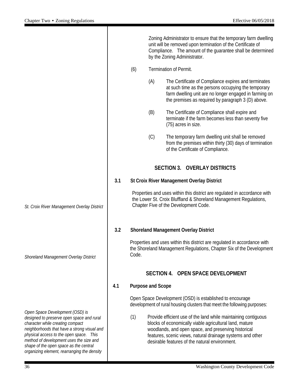|                                                                                                                                                                                                                                                                                                                                                |     |       |                          | Zoning Administrator to ensure that the temporary farm dwelling<br>unit will be removed upon termination of the Certificate of<br>Compliance. The amount of the guarantee shall be determined<br>by the Zoning Administrator.                                                                     |
|------------------------------------------------------------------------------------------------------------------------------------------------------------------------------------------------------------------------------------------------------------------------------------------------------------------------------------------------|-----|-------|--------------------------|---------------------------------------------------------------------------------------------------------------------------------------------------------------------------------------------------------------------------------------------------------------------------------------------------|
|                                                                                                                                                                                                                                                                                                                                                |     | (6)   |                          | Termination of Permit.                                                                                                                                                                                                                                                                            |
|                                                                                                                                                                                                                                                                                                                                                |     |       | (A)                      | The Certificate of Compliance expires and terminates<br>at such time as the persons occupying the temporary<br>farm dwelling unit are no longer engaged in farming on<br>the premises as required by paragraph 3 (D) above.                                                                       |
|                                                                                                                                                                                                                                                                                                                                                |     |       | (B)                      | The Certificate of Compliance shall expire and<br>terminate if the farm becomes less than seventy five<br>(75) acres in size.                                                                                                                                                                     |
|                                                                                                                                                                                                                                                                                                                                                |     |       | (C)                      | The temporary farm dwelling unit shall be removed<br>from the premises within thirty (30) days of termination<br>of the Certificate of Compliance.                                                                                                                                                |
|                                                                                                                                                                                                                                                                                                                                                |     |       |                          | <b>SECTION 3. OVERLAY DISTRICTS</b>                                                                                                                                                                                                                                                               |
|                                                                                                                                                                                                                                                                                                                                                | 3.1 |       |                          | St Croix River Management Overlay District                                                                                                                                                                                                                                                        |
| St. Croix River Management Overlay District                                                                                                                                                                                                                                                                                                    |     |       |                          | Properties and uses within this district are regulated in accordance with<br>the Lower St. Croix Bluffland & Shoreland Management Regulations,<br>Chapter Five of the Development Code.                                                                                                           |
|                                                                                                                                                                                                                                                                                                                                                | 3.2 |       |                          | <b>Shoreland Management Overlay District</b>                                                                                                                                                                                                                                                      |
| Shoreland Management Overlay District                                                                                                                                                                                                                                                                                                          |     | Code. |                          | Properties and uses within this district are regulated in accordance with<br>the Shoreland Management Regulations, Chapter Six of the Development                                                                                                                                                 |
|                                                                                                                                                                                                                                                                                                                                                |     |       |                          | SECTION 4. OPEN SPACE DEVELOPMENT                                                                                                                                                                                                                                                                 |
|                                                                                                                                                                                                                                                                                                                                                | 4.1 |       | <b>Purpose and Scope</b> |                                                                                                                                                                                                                                                                                                   |
|                                                                                                                                                                                                                                                                                                                                                |     |       |                          | Open Space Development (OSD) is established to encourage<br>development of rural housing clusters that meet the following purposes:                                                                                                                                                               |
| Open Space Development (OSD) is<br>designed to preserve open space and rural<br>character while creating compact<br>neighborhoods that have a strong visual and<br>physical access to the open space. This<br>method of development uses the size and<br>shape of the open space as the central<br>organizing element, rearranging the density |     | (1)   |                          | Provide efficient use of the land while maintaining contiguous<br>blocks of economically viable agricultural land, mature<br>woodlands, and open space, and preserving historical<br>features, scenic views, natural drainage systems and other<br>desirable features of the natural environment. |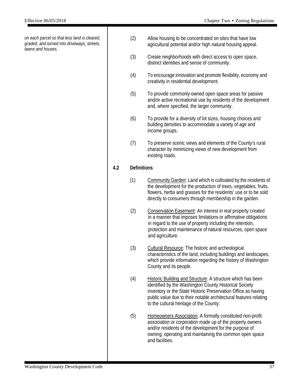*on each parcel so that less land is cleared, graded, and turned into driveways, streets, lawns and houses.*

- (2) Allow housing to be concentrated on sites that have low agricultural potential and/or high natural housing appeal.
- (3) Create neighborhoods with direct access to open space, distinct identities and sense of community.
- (4) To encourage innovation and promote flexibility, economy and creativity in residential development.
- (5) To provide commonly-owned open space areas for passive and/or active recreational use by residents of the development and, where specified, the larger community.
- (6) To provide for a diversity of lot sizes, housing choices and building densities to accommodate a variety of age and income groups.
- (7) To preserve scenic views and elements of the County's rural character by minimizing views of new development from existing roads.

#### **4.2 Definitions**

- (1) Community Garden: Land which is cultivated by the residents of the development for the production of trees, vegetables, fruits, flowers, herbs and grasses for the residents' use or to be sold directly to consumers through membership in the garden.
- (2) Conservation Easement: An interest in real property created in a manner that imposes limitations or affirmative obligations in regard to the use of property including the retention, protection and maintenance of natural resources, open space and agriculture.
- (3) Cultural Resource: The historic and archeological characteristics of the land, including buildings and landscapes, which provide information regarding the history of Washington County and its people.
- (4) Historic Building and Structure: A structure which has been identified by the Washington County Historical Society inventory or the State Historic Preservation Office as having public value due to their notable architectural features relating to the cultural heritage of the County.
- (5) Homeowners Association: A formally constituted non-profit association or corporation made up of the property owners and/or residents of the development for the purpose of owning, operating and maintaining the common open space and facilities.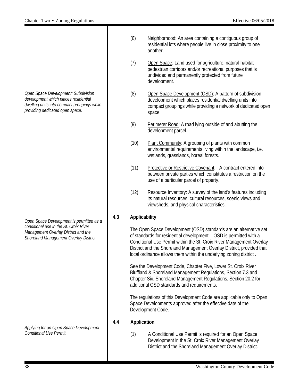*Open Space Development: Subdivision development which places residential dwelling units into compact groupings while providing dedicated open space.*

*Open Space Development is permitted as a conditional use in the St. Croix River Management Overlay District and the Shoreland Management Overlay District.*

*Applying for an Open Space Development Conditional Use Permit.*

- (6) Neighborhood: An area containing a contiguous group of residential lots where people live in close proximity to one another.
- (7) Open Space: Land used for agriculture, natural habitat pedestrian corridors and/or recreational purposes that is undivided and permanently protected from future development.
- (8) Open Space Development (OSD): A pattern of subdivision development which places residential dwelling units into compact groupings while providing a network of dedicated open space.
- (9) Perimeter Road: A road lying outside of and abutting the development parcel.
- (10) Plant Community: A grouping of plants with common environmental requirements living within the landscape, i.e. wetlands, grasslands, boreal forests.
- (11) Protective or Restrictive Covenant: A contract entered into between private parties which constitutes a restriction on the use of a particular parcel of property.
- (12) Resource Inventory: A survey of the land's features including its natural resources, cultural resources, scenic views and viewsheds, and physical characteristics.

#### **4.3 Applicability**

The Open Space Development (OSD) standards are an alternative set of standards for residential development. OSD is permitted with a Conditional Use Permit within the St. Croix River Management Overlay District and the Shoreland Management Overlay District, provided that local ordinance allows them within the underlying zoning district .

See the Development Code, Chapter Five, Lower St. Croix River Bluffland & Shoreland Management Regulations, Section 7.3 and Chapter Six, Shoreland Management Regulations, Section 20.2 for additional OSD standards and requirements.

The regulations of this Development Code are applicable only to Open Space Developments approved after the effective date of the Development Code.

#### **4.4 Application**

(1) A Conditional Use Permit is required for an Open Space Development in the St. Croix River Management Overlay District and the Shoreland Management Overlay District.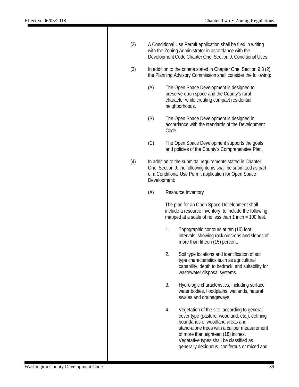| (2) | A Conditional Use Permit application shall be filed in writing<br>with the Zoning Administrator in accordance with the<br>Development Code Chapter One, Section 9, Conditional Uses. |                                                                                                                                                                                                         |                                                                                                                                                                                                                                                                                                                     |  |  |
|-----|--------------------------------------------------------------------------------------------------------------------------------------------------------------------------------------|---------------------------------------------------------------------------------------------------------------------------------------------------------------------------------------------------------|---------------------------------------------------------------------------------------------------------------------------------------------------------------------------------------------------------------------------------------------------------------------------------------------------------------------|--|--|
| (3) |                                                                                                                                                                                      | In addition to the criteria stated in Chapter One, Section 9.3 (2),<br>the Planning Advisory Commission shall consider the following:                                                                   |                                                                                                                                                                                                                                                                                                                     |  |  |
|     | (A)                                                                                                                                                                                  |                                                                                                                                                                                                         | The Open Space Development is designed to<br>preserve open space and the County's rural<br>character while creating compact residential<br>neighborhoods.                                                                                                                                                           |  |  |
|     | (B)                                                                                                                                                                                  | Code.                                                                                                                                                                                                   | The Open Space Development is designed in<br>accordance with the standards of the Development                                                                                                                                                                                                                       |  |  |
|     | (C)                                                                                                                                                                                  |                                                                                                                                                                                                         | The Open Space Development supports the goals<br>and policies of the County's Comprehensive Plan.                                                                                                                                                                                                                   |  |  |
| (4) |                                                                                                                                                                                      | In addition to the submittal requirements stated in Chapter<br>One, Section 9, the following items shall be submitted as part<br>of a Conditional Use Permit application for Open Space<br>Development: |                                                                                                                                                                                                                                                                                                                     |  |  |
|     | (A)                                                                                                                                                                                  |                                                                                                                                                                                                         | Resource Inventory                                                                                                                                                                                                                                                                                                  |  |  |
|     |                                                                                                                                                                                      |                                                                                                                                                                                                         | The plan for an Open Space Development shall<br>include a resource inventory, to include the following,<br>mapped at a scale of no less than 1 inch = 100 feet.                                                                                                                                                     |  |  |
|     |                                                                                                                                                                                      | 1.                                                                                                                                                                                                      | Topographic contours at ten (10) foot<br>intervals, showing rock outcrops and slopes of<br>more than fifteen (15) percent.                                                                                                                                                                                          |  |  |
|     |                                                                                                                                                                                      | 2.                                                                                                                                                                                                      | Soil type locations and identification of soil<br>type characteristics such as agricultural<br>capability, depth to bedrock, and suitability for<br>wastewater disposal systems.                                                                                                                                    |  |  |
|     |                                                                                                                                                                                      | 3.                                                                                                                                                                                                      | Hydrologic characteristics, including surface<br>water bodies, floodplains, wetlands, natural<br>swales and drainageways.                                                                                                                                                                                           |  |  |
|     |                                                                                                                                                                                      | 4.                                                                                                                                                                                                      | Vegetation of the site, according to general<br>cover type (pasture, woodland, etc.), defining<br>boundaries of woodland areas and<br>stand-alone trees with a caliper measurement<br>of more than eighteen (18) inches.<br>Vegetative types shall be classified as<br>generally deciduous, coniferous or mixed and |  |  |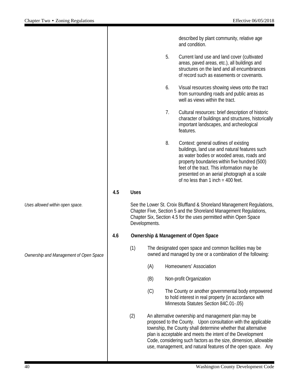|     |               |     |    | described by plant community, relative age<br>and condition.                                                                                                                                                                                                                                                                                                                            |
|-----|---------------|-----|----|-----------------------------------------------------------------------------------------------------------------------------------------------------------------------------------------------------------------------------------------------------------------------------------------------------------------------------------------------------------------------------------------|
|     |               |     | 5. | Current land use and land cover (cultivated<br>areas, paved areas, etc.), all buildings and<br>structures on the land and all encumbrances<br>of record such as easements or covenants.                                                                                                                                                                                                 |
|     |               |     | 6. | Visual resources showing views onto the tract<br>from surrounding roads and public areas as<br>well as views within the tract.                                                                                                                                                                                                                                                          |
|     |               |     | 7. | Cultural resources: brief description of historic<br>character of buildings and structures, historically<br>important landscapes, and archeological<br>features.                                                                                                                                                                                                                        |
|     |               |     | 8. | Context: general outlines of existing<br>buildings, land use and natural features such<br>as water bodies or wooded areas, roads and<br>property boundaries within five hundred (500)<br>feet of the tract. This information may be<br>presented on an aerial photograph at a scale<br>of no less than $1$ inch = 400 feet.                                                             |
| 4.5 | <b>Uses</b>   |     |    |                                                                                                                                                                                                                                                                                                                                                                                         |
|     | Developments. |     |    | See the Lower St. Croix Bluffland & Shoreland Management Regulations,<br>Chapter Five, Section 5 and the Shoreland Management Regulations,<br>Chapter Six, Section 4.5 for the uses permitted within Open Space                                                                                                                                                                         |
| 4.6 |               |     |    | <b>Ownership &amp; Management of Open Space</b>                                                                                                                                                                                                                                                                                                                                         |
|     | (1)           |     |    | The designated open space and common facilities may be<br>owned and managed by one or a combination of the following:                                                                                                                                                                                                                                                                   |
|     |               | (A) |    | Homeowners' Association                                                                                                                                                                                                                                                                                                                                                                 |
|     |               | (B) |    | Non-profit Organization                                                                                                                                                                                                                                                                                                                                                                 |
|     |               | (C) |    | The County or another governmental body empowered<br>to hold interest in real property (in accordance with<br>Minnesota Statutes Section 84C.01-.05)                                                                                                                                                                                                                                    |
|     | (2)           |     |    | An alternative ownership and management plan may be<br>proposed to the County. Upon consultation with the applicable<br>township, the County shall determine whether that alternative<br>plan is acceptable and meets the intent of the Development<br>Code, considering such factors as the size, dimension, allowable<br>use, management, and natural features of the open space. Any |

*Uses allowed within open space.*

*Ownership and Management of Open Space*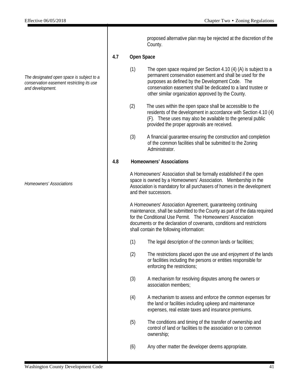*The designated open space is subject to a conservation easement restricting its use and development.*

*Homeowners' Associations*

proposed alternative plan may be rejected at the discretion of the County.

#### **4.7 Open Space**

- (1) The open space required per Section 4.10 (4) (A) is subject to a permanent conservation easement and shall be used for the purposes as defined by the Development Code. The conservation easement shall be dedicated to a land trustee or other similar organization approved by the County.
- (2) The uses within the open space shall be accessible to the residents of the development in accordance with Section 4.10 (4) (F). These uses may also be available to the general public provided the proper approvals are received.
- (3) A financial guarantee ensuring the construction and completion of the common facilities shall be submitted to the Zoning **Administrator**

#### **4.8 Homeowners' Associations**

A Homeowners' Association shall be formally established if the open space is owned by a Homeowners' Association. Membership in the Association is mandatory for all purchasers of homes in the development and their successors.

A Homeowners' Association Agreement, guaranteeing continuing maintenance, shall be submitted to the County as part of the data required for the Conditional Use Permit. The Homeowners' Association documents or the declaration of covenants, conditions and restrictions shall contain the following information:

- (1) The legal description of the common lands or facilities;
- (2) The restrictions placed upon the use and enjoyment of the lands or facilities including the persons or entities responsible for enforcing the restrictions;
- (3) A mechanism for resolving disputes among the owners or association members;
- (4) A mechanism to assess and enforce the common expenses for the land or facilities including upkeep and maintenance expenses, real estate taxes and insurance premiums.
- (5) The conditions and timing of the transfer of ownership and control of land or facilities to the association or to common ownership;
- (6) Any other matter the developer deems appropriate.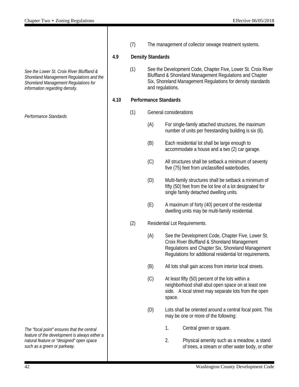*See the Lower St. Croix River Bluffland & Shoreland Management Regulations and the Shoreland Management Regulations for information regarding density.* 

*Performance Standards*

*The "focal point" ensures that the central feature of the development is always either a natural feature or "designed" open space such as a green or parkway.*

(7) The management of collector sewage treatment systems.

#### **4.9 Density Standards**

(1) See the Development Code, Chapter Five, Lower St. Croix River Bluffland & Shoreland Management Regulations and Chapter Six, Shoreland Management Regulations for density standards and regulations.

#### **4.10 Performance Standards**

- (1) General considerations
	- (A) For single-family attached structures, the maximum number of units per freestanding building is six (6).
	- (B) Each residential lot shall be large enough to accommodate a house and a two (2) car garage.
	- (C) All structures shall be setback a minimum of seventy five (75) feet from unclassified waterbodies.
	- (D) Multi-family structures shall be setback a minimum of fifty (50) feet from the lot line of a lot designated for single family detached dwelling units.
	- (E) A maximum of forty (40) percent of the residential dwelling units may be multi-family residential.
- (2) Residential Lot Requirements.
	- (A) See the Development Code, Chapter Five, Lower St. Croix River Bluffland & Shoreland Management Regulations and Chapter Six, Shoreland Management Regulations for additional residential lot requirements.
	- (B) All lots shall gain access from interior local streets.
	- (C) At least fifty (50) percent of the lots within a neighborhood shall abut open space on at least one side. A local street may separate lots from the open space.
	- (D) Lots shall be oriented around a central focal point. This may be one or more of the following:
		- 1. Central green or square.
		- 2. Physical amenity such as a meadow, a stand of trees, a stream or other water body, or other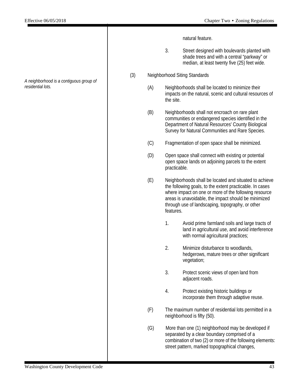*A neighborhood is a contiguous group of residential lots.*

natural feature.

- 3. Street designed with boulevards planted with shade trees and with a central "parkway" or median, at least twenty five (25) feet wide.
- (3) Neighborhood Siting Standards
	- (A) Neighborhoods shall be located to minimize their impacts on the natural, scenic and cultural resources of the site.
	- (B) Neighborhoods shall not encroach on rare plant communities or endangered species identified in the Department of Natural Resources' County Biological Survey for Natural Communities and Rare Species.
	- (C) Fragmentation of open space shall be minimized.
	- (D) Open space shall connect with existing or potential open space lands on adjoining parcels to the extent practicable.
	- (E) Neighborhoods shall be located and situated to achieve the following goals, to the extent practicable. In cases where impact on one or more of the following resource areas is unavoidable, the impact should be minimized through use of landscaping, topography, or other features.
		- 1. Avoid prime farmland soils and large tracts of land in agricultural use, and avoid interference with normal agricultural practices;
		- 2. Minimize disturbance to woodlands, hedgerows, mature trees or other significant vegetation;
		- 3. Protect scenic views of open land from adjacent roads.
		- 4. Protect existing historic buildings or incorporate them through adaptive reuse.
	- (F) The maximum number of residential lots permitted in a neighborhood is fifty (50).
	- (G) More than one (1) neighborhood may be developed if separated by a clear boundary comprised of a combination of two (2) or more of the following elements: street pattern, marked topographical changes,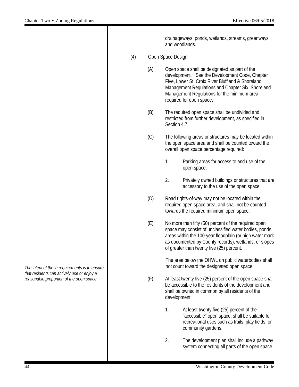|     |     |                                                                                                                                                           | drainageways, ponds, wetlands, streams, greenways<br>and woodlands.                                                                                                                                                                                                                  |  |
|-----|-----|-----------------------------------------------------------------------------------------------------------------------------------------------------------|--------------------------------------------------------------------------------------------------------------------------------------------------------------------------------------------------------------------------------------------------------------------------------------|--|
| (4) |     | Open Space Design                                                                                                                                         |                                                                                                                                                                                                                                                                                      |  |
|     | (A) |                                                                                                                                                           | Open space shall be designated as part of the<br>development. See the Development Code, Chapter<br>Five, Lower St. Croix River Bluffland & Shoreland<br>Management Regulations and Chapter Six, Shoreland<br>Management Regulations for the minimum area<br>required for open space. |  |
|     | (B) | Section 4.7.                                                                                                                                              | The required open space shall be undivided and<br>restricted from further development, as specified in                                                                                                                                                                               |  |
|     | (C) | The following areas or structures may be located within<br>the open space area and shall be counted toward the<br>overall open space percentage required: |                                                                                                                                                                                                                                                                                      |  |
|     |     | 1.                                                                                                                                                        | Parking areas for access to and use of the<br>open space.                                                                                                                                                                                                                            |  |
|     |     | 2.                                                                                                                                                        | Privately owned buildings or structures that are<br>accessory to the use of the open space.                                                                                                                                                                                          |  |
|     | (D) |                                                                                                                                                           | Road rights-of-way may not be located within the<br>required open space area, and shall not be counted<br>towards the required minimum open space.                                                                                                                                   |  |
|     | (E) |                                                                                                                                                           | No more than fifty (50) percent of the required open<br>space may consist of unclassified water bodies, ponds,<br>areas within the 100-year floodplain (or high water mark<br>as documented by County records), wetlands, or slopes<br>of greater than twenty five (25) percent.     |  |
|     |     | The area below the OHWL on public waterbodies shall<br>not count toward the designated open space.                                                        |                                                                                                                                                                                                                                                                                      |  |
|     | (F) | development.                                                                                                                                              | At least twenty five (25) percent of the open space shall<br>be accessible to the residents of the development and<br>shall be owned in common by all residents of the                                                                                                               |  |
|     |     | 1.                                                                                                                                                        | At least twenty five (25) percent of the<br>"accessible" open space, shall be suitable for<br>recreational uses such as trails, play fields, or<br>community gardens.                                                                                                                |  |
|     |     | 2.                                                                                                                                                        | The development plan shall include a pathway<br>system connecting all parts of the open space                                                                                                                                                                                        |  |

*The intent of these requirements is to ensure that residents can actively use or enjoy a reasonable proportion of the open space.*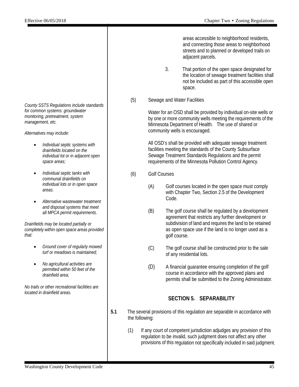areas accessible to neighborhood residents, and connecting those areas to neighborhood streets and to planned or developed trails on adjacent parcels.

- 3. That portion of the open space designated for the location of sewage treatment facilities shall not be included as part of this accessible open space.
- (5) Sewage and Water Facilities

Water for an OSD shall be provided by individual on-site wells or by one or more community wells meeting the requirements of the Minnesota Department of Health. The use of shared or community wells is encouraged.

All OSD's shall be provided with adequate sewage treatment facilities meeting the standards of the County Subsurface Sewage Treatment Standards Regulations and the permit requirements of the Minnesota Pollution Control Agency.

- (6) Golf Courses
	- (A) Golf courses located in the open space must comply with Chapter Two, Section 2.5 of the Development Code.
	- (B) The golf course shall be regulated by a development agreement that restricts any further development or subdivision of land and requires the land to be retained as open space use if the land is no longer used as a golf course.
	- (C) The golf course shall be constructed prior to the sale of any residential lots.
	- (D) A financial guarantee ensuring completion of the golf course in accordance with the approved plans and permits shall be submitted to the Zoning Administrator.

#### **SECTION 5. SEPARABILITY**

- **5.1** The several provisions of this regulation are separable in accordance with the following:
	- (1) If any court of competent jurisdiction adjudges any provision of this regulation to be invalid, such judgment does not affect any other provisions of this regulation not specifically included in said judgment.

*County SSTS Regulations include standards for common systems: groundwater monitoring, pretreatment, system management, etc.*

*Alternatives may include:*

- *Individual septic systems with drainfields located on the individual lot or in adjacent open space areas;*
- *Individual septic tanks with communal drainfields on individual lots or in open space areas.*
- *Alternative wastewater treatment and disposal systems that meet all MPCA permit requirements.*

*Drainfields may be located partially or completely within open space areas provided that:* 

- *Ground cover of regularly mowed turf or meadows is maintained;*
- *No agricultural activities are permitted within 50 feet of the drainfield area;*

*No trails or other recreational facilities are located in drainfield areas.*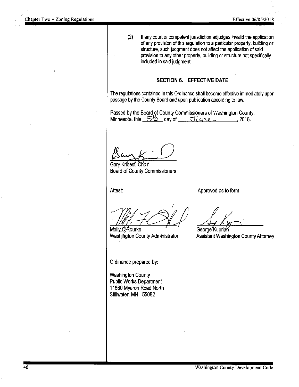$(2)$ 

If any court of competent jurisdiction adjudges invalid the application of any provision of this regulation to a particular property, building or structure, such judgment does not affect the application of said provision to any other property, building or structure not specifically included in said judgment.

#### SECTION 6. EFFECTIVE DATE

The regulations contained in this Ordinance shall become effective immediately upon passage by the County Board and upon publication according to law.

Passed by the Board of County Commissioners of Washington County, Minnesota, this 5<sup>16</sup> day of June 7018.

Gary Kriesel Chair **Board of County Commissioners** 

Attest:

Approved as to form:

Molly O'Rourke Washington County Administrator

Ordinance prepared by:

**Washington County Public Works Department** 11660 Myeron Road North Stillwater, MN 55082

George Kuprian Assistant Washington County Attorney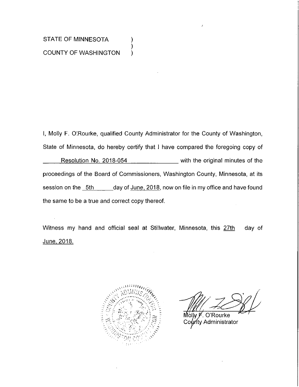#### STATE OF MINNESOTA **COUNTY OF WASHINGTON**

I, Molly F. O'Rourke, qualified County Administrator for the County of Washington, State of Minnesota, do hereby certify that I have compared the foregoing copy of Resolution No. 2018-054 \_\_\_\_\_\_\_\_\_\_\_ with the original minutes of the proceedings of the Board of Commissioners, Washington County, Minnesota, at its session on the 5th \_\_\_\_\_\_day of June, 2018, now on file in my office and have found the same to be a true and correct copy thereof.

).

Witness my hand and official seal at Stillwater, Minnesota, this 27th day of <u>June, 2018.</u>



O'Rourke Molw F ท<sub>ี</sub>ty Administrator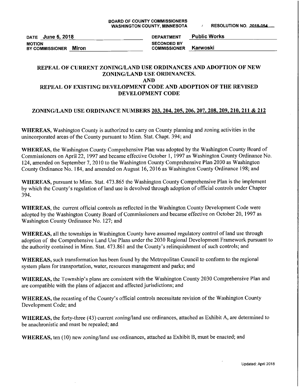DATE June 5, 2018 **MOTION** BY COMMISSIONER Miron

**Public Works DEPARTMENT SECONDED BY** Karwoski **COMMISSIONER** 

#### REPEAL OF CURRENT ZONING/LAND USE ORDINANCES AND ADOPTION OF NEW ZONING/LAND USE ORDINANCES. **AND**

#### REPEAL OF EXISTING DEVELOPMENT CODE AND ADOPTION OF THE REVISED DEVELOPMENT CODE

#### ZONING/LAND USE ORDINANCE NUMBERS 203, 204, 205, 206, 207, 208, 209, 210, 211 & 212

WHEREAS, Washington County is authorized to carry on County planning and zoning activities in the unincorporated areas of the County pursuant to Minn. Stat. Chapt. 394; and

WHEREAS, the Washington County Comprehensive Plan was adopted by the Washington County Board of Commissioners on April 22, 1997 and became effective October 1, 1997 as Washington County Ordinance No. 124, amended on September 7, 2010 to the Washington County Comprehensive Plan 2030 as Washington County Ordinance No. 184, and amended on August 16, 2016 as Washington County Ordinance 198; and

WHEREAS, pursuant to Minn. Stat. 473.865 the Washington County Comprehensive Plan is the implement by which the County's regulation of land use is devolved through adoption of official controls under Chapter 394.

**WHEREAS**, the current official controls as reflected in the Washington County Development Code were adopted by the Washington County Board of Commissioners and became effective on October 20, 1997 as Washington County Ordinance No. 127; and

WHEREAS, all the townships in Washington County have assumed regulatory control of land use through adoption of the Comprehensive Land Use Plans under the 2030 Regional Development Framework pursuant to the authority contained in Minn. Stat. 473.861 and the County's relinquishment of such controls; and

WHEREAS, such transformation has been found by the Metropolitan Council to conform to the regional system plans for transportation, water, resources management and parks; and

WHEREAS, the Township's plans are consistent with the Washington County 2030 Comprehensive Plan and are compatible with the plans of adjacent and affected jurisdictions; and

WHEREAS, the recasting of the County's official controls necessitate revision of the Washington County Development Code; and

WHEREAS, the forty-three (43) current zoning/land use ordinances, attached as Exhibit A, are determined to be anachronistic and must be repealed; and

WHEREAS, ten (10) new zoning/land use ordinances, attached as Exhibit B, must be enacted; and